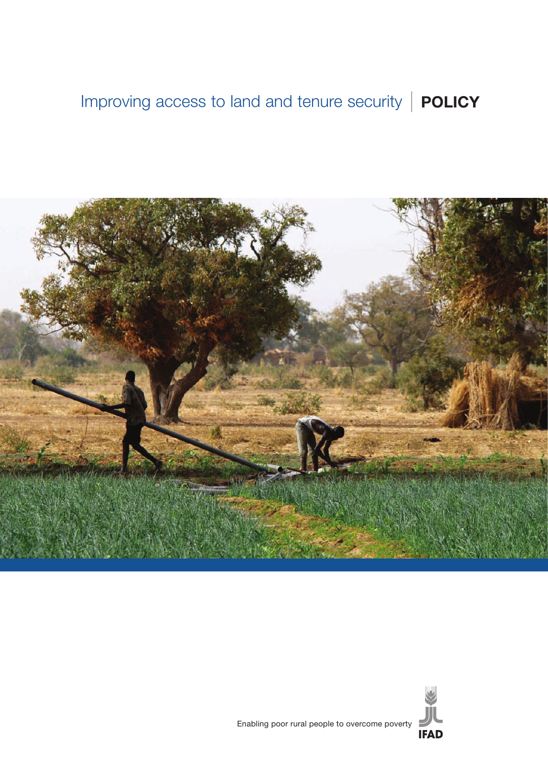# Improving access to land and tenure security **POLICY**



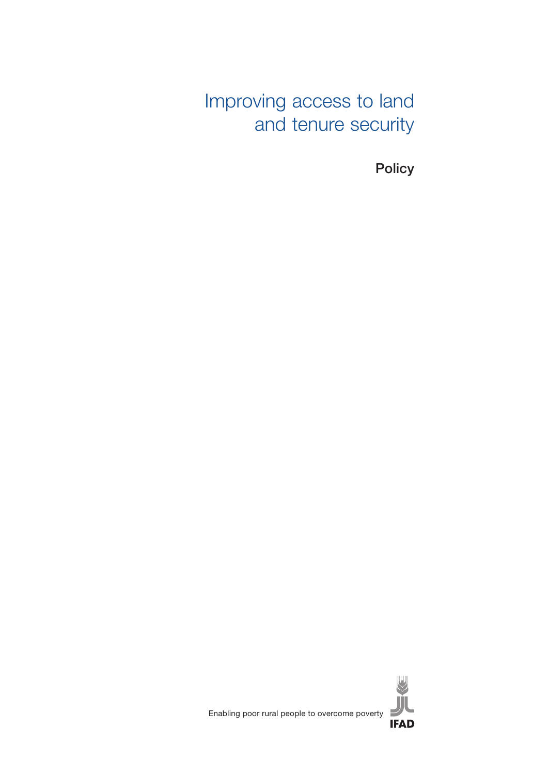Improving access to land and tenure security

**Policy** 

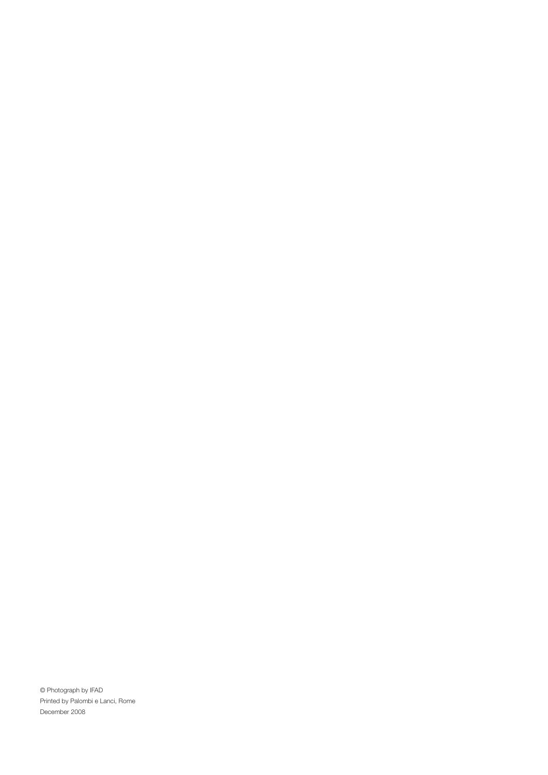© Photograph by IFAD Printed by Palombi e Lanci, Rome December 2008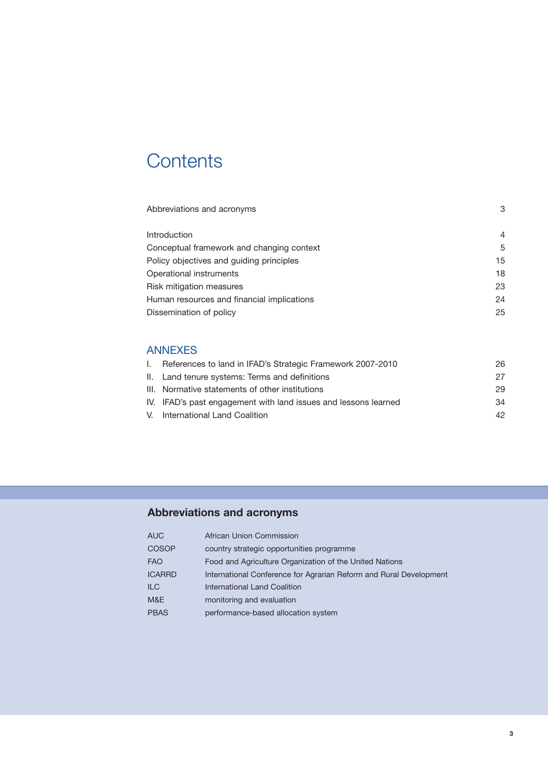# **Contents**

| Abbreviations and acronyms                 | 3  |
|--------------------------------------------|----|
| Introduction                               | 4  |
| Conceptual framework and changing context  | 5  |
| Policy objectives and quiding principles   | 15 |
| Operational instruments                    | 18 |
| <b>Risk mitigation measures</b>            | 23 |
| Human resources and financial implications | 24 |
| Dissemination of policy                    | 25 |
|                                            |    |

# ANNEXES

| L. | References to land in IFAD's Strategic Framework 2007-2010      | 26 |
|----|-----------------------------------------------------------------|----|
|    | II. Land tenure systems: Terms and definitions                  | 27 |
|    | III. Normative statements of other institutions                 | 29 |
|    | IV. IFAD's past engagement with land issues and lessons learned | 34 |
|    | V. International Land Coalition                                 | 42 |

# **Abbreviations and acronyms**

| <b>AUC</b>    | African Union Commission                                           |
|---------------|--------------------------------------------------------------------|
| <b>COSOP</b>  | country strategic opportunities programme                          |
| <b>FAO</b>    | Food and Agriculture Organization of the United Nations            |
| <b>ICARRD</b> | International Conference for Agrarian Reform and Rural Development |
| <b>ILC</b>    | International Land Coalition                                       |
| M&E           | monitoring and evaluation                                          |
| <b>PBAS</b>   | performance-based allocation system                                |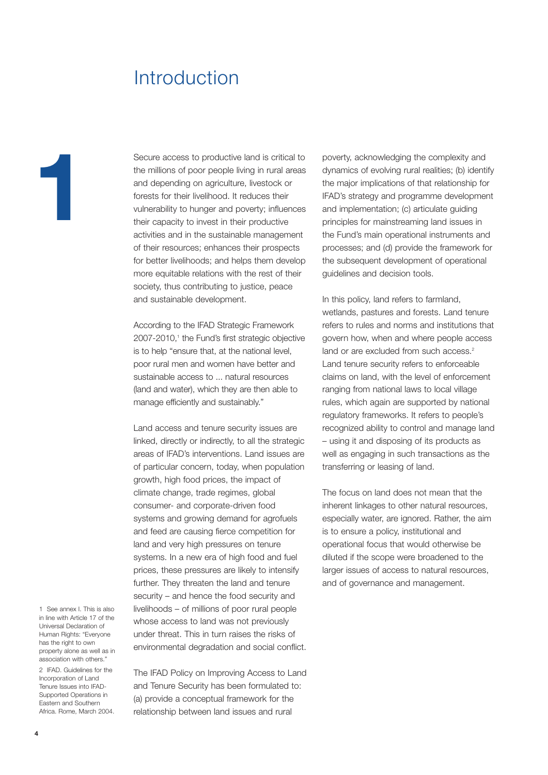# Introduction

Secure access to productive land is critical to<br>the millions of poor people living in rural areas<br>and depending on agriculture, livestock or<br>forests for their livelihood. It reduces their<br>vulnerability to hunger and povert the millions of poor people living in rural areas and depending on agriculture, livestock or forests for their livelihood. It reduces their vulnerability to hunger and poverty; influences their capacity to invest in their productive activities and in the sustainable management of their resources; enhances their prospects for better livelihoods; and helps them develop more equitable relations with the rest of their society, thus contributing to justice, peace and sustainable development.

> According to the IFAD Strategic Framework 2007-2010,<sup>1</sup> the Fund's first strategic objective is to help "ensure that, at the national level, poor rural men and women have better and sustainable access to ... natural resources (land and water), which they are then able to manage efficiently and sustainably."

> Land access and tenure security issues are linked, directly or indirectly, to all the strategic areas of IFAD's interventions. Land issues are of particular concern, today, when population growth, high food prices, the impact of climate change, trade regimes, global consumer- and corporate-driven food systems and growing demand for agrofuels and feed are causing fierce competition for land and very high pressures on tenure systems. In a new era of high food and fuel prices, these pressures are likely to intensify further. They threaten the land and tenure security – and hence the food security and livelihoods – of millions of poor rural people whose access to land was not previously under threat. This in turn raises the risks of environmental degradation and social conflict.

1 See annex I. This is also in line with Article 17 of the Universal Declaration of Human Rights: "Everyone has the right to own property alone as well as in association with others."

2 IFAD. Guidelines for the Incorporation of Land Tenure Issues into IFAD-Supported Operations in Eastern and Southern Africa. Rome, March 2004.

The IFAD Policy on Improving Access to Land and Tenure Security has been formulated to: (a) provide a conceptual framework for the relationship between land issues and rural

poverty, acknowledging the complexity and dynamics of evolving rural realities; (b) identify the major implications of that relationship for IFAD's strategy and programme development and implementation; (c) articulate guiding principles for mainstreaming land issues in the Fund's main operational instruments and processes; and (d) provide the framework for the subsequent development of operational guidelines and decision tools.

In this policy, land refers to farmland, wetlands, pastures and forests. Land tenure refers to rules and norms and institutions that govern how, when and where people access land or are excluded from such access.<sup>2</sup> Land tenure security refers to enforceable claims on land, with the level of enforcement ranging from national laws to local village rules, which again are supported by national regulatory frameworks. It refers to people's recognized ability to control and manage land – using it and disposing of its products as well as engaging in such transactions as the transferring or leasing of land.

The focus on land does not mean that the inherent linkages to other natural resources, especially water, are ignored. Rather, the aim is to ensure a policy, institutional and operational focus that would otherwise be diluted if the scope were broadened to the larger issues of access to natural resources, and of governance and management.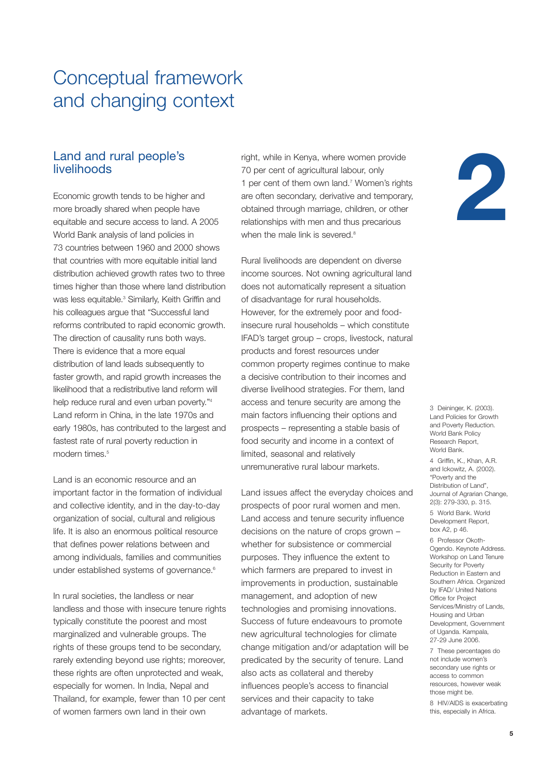# Conceptual framework and changing context

## Land and rural people's livelihoods

Economic growth tends to be higher and more broadly shared when people have equitable and secure access to land. A 2005 World Bank analysis of land policies in 73 countries between 1960 and 2000 shows that countries with more equitable initial land distribution achieved growth rates two to three times higher than those where land distribution was less equitable.<sup>3</sup> Similarly, Keith Griffin and his colleagues argue that "Successful land reforms contributed to rapid economic growth. The direction of causality runs both ways. There is evidence that a more equal distribution of land leads subsequently to faster growth, and rapid growth increases the likelihood that a redistributive land reform will help reduce rural and even urban poverty."4 Land reform in China, in the late 1970s and early 1980s, has contributed to the largest and fastest rate of rural poverty reduction in modern times $<sup>5</sup>$ </sup>

Land is an economic resource and an important factor in the formation of individual and collective identity, and in the day-to-day organization of social, cultural and religious life. It is also an enormous political resource that defines power relations between and among individuals, families and communities under established systems of governance.<sup>6</sup>

In rural societies, the landless or near landless and those with insecure tenure rights typically constitute the poorest and most marginalized and vulnerable groups. The rights of these groups tend to be secondary, rarely extending beyond use rights; moreover, these rights are often unprotected and weak, especially for women. In India, Nepal and Thailand, for example, fewer than 10 per cent of women farmers own land in their own

right, while in Kenya, where women provide 70 per cent of agricultural labour, only 1 per cent of them own land.<sup>7</sup> Women's rights are often secondary, derivative and temporary, obtained through marriage, children, or other relationships with men and thus precarious when the male link is severed.<sup>8</sup>

Rural livelihoods are dependent on diverse income sources. Not owning agricultural land does not automatically represent a situation of disadvantage for rural households. However, for the extremely poor and foodinsecure rural households – which constitute IFAD's target group – crops, livestock, natural products and forest resources under common property regimes continue to make a decisive contribution to their incomes and diverse livelihood strategies. For them, land access and tenure security are among the main factors influencing their options and prospects – representing a stable basis of food security and income in a context of limited, seasonal and relatively unremunerative rural labour markets.

Land issues affect the everyday choices and prospects of poor rural women and men. Land access and tenure security influence decisions on the nature of crops grown – whether for subsistence or commercial purposes. They influence the extent to which farmers are prepared to invest in improvements in production, sustainable management, and adoption of new technologies and promising innovations. Success of future endeavours to promote new agricultural technologies for climate change mitigation and/or adaptation will be predicated by the security of tenure. Land also acts as collateral and thereby influences people's access to financial services and their capacity to take advantage of markets.



3 Deininger, K. (2003). Land Policies for Growth and Poverty Reduction. World Bank Policy Research Report, World Bank.

4 Griffin, K., Khan, A.R. and Ickowitz, A. (2002). "Poverty and the Distribution of Land", Journal of Agrarian Change, 2(3): 279-330, p. 315.

5 World Bank. World Development Report, box A2, p 46.

6 Professor Okoth-Ogendo. Keynote Address. Workshop on Land Tenure Security for Poverty Reduction in Eastern and Southern Africa. Organized by IFAD/ United Nations Office for Project Services/Ministry of Lands, Housing and Urban Development, Government of Uganda. Kampala, 27-29 June 2006.

7 These percentages do not include women's secondary use rights or access to common resources, however weak those might be.

8 HIV/AIDS is exacerbating this, especially in Africa.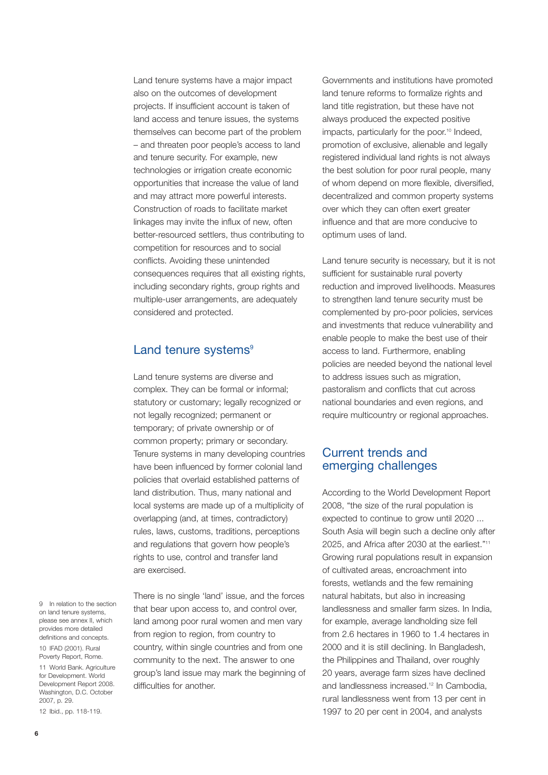Land tenure systems have a major impact also on the outcomes of development projects. If insufficient account is taken of land access and tenure issues, the systems themselves can become part of the problem – and threaten poor people's access to land and tenure security. For example, new technologies or irrigation create economic opportunities that increase the value of land and may attract more powerful interests. Construction of roads to facilitate market linkages may invite the influx of new, often better-resourced settlers, thus contributing to competition for resources and to social conflicts. Avoiding these unintended consequences requires that all existing rights, including secondary rights, group rights and multiple-user arrangements, are adequately considered and protected.

## Land tenure systems<sup>9</sup>

Land tenure systems are diverse and complex. They can be formal or informal; statutory or customary; legally recognized or not legally recognized; permanent or temporary; of private ownership or of common property; primary or secondary. Tenure systems in many developing countries have been influenced by former colonial land policies that overlaid established patterns of land distribution. Thus, many national and local systems are made up of a multiplicity of overlapping (and, at times, contradictory) rules, laws, customs, traditions, perceptions and regulations that govern how people's rights to use, control and transfer land are exercised.

9 In relation to the section on land tenure systems, please see annex II, which provides more detailed definitions and concepts.

10 IFAD (2001). Rural Poverty Report, Rome.

11 World Bank. Agriculture for Development. World Development Report 2008. Washington, D.C. October 2007, p. 29.

12 Ibid., pp. 118-119.

There is no single 'land' issue, and the forces that bear upon access to, and control over, land among poor rural women and men vary from region to region, from country to country, within single countries and from one community to the next. The answer to one group's land issue may mark the beginning of difficulties for another.

Governments and institutions have promoted land tenure reforms to formalize rights and land title registration, but these have not always produced the expected positive impacts, particularly for the poor.<sup>10</sup> Indeed, promotion of exclusive, alienable and legally registered individual land rights is not always the best solution for poor rural people, many of whom depend on more flexible, diversified, decentralized and common property systems over which they can often exert greater influence and that are more conducive to optimum uses of land.

Land tenure security is necessary, but it is not sufficient for sustainable rural poverty reduction and improved livelihoods. Measures to strengthen land tenure security must be complemented by pro-poor policies, services and investments that reduce vulnerability and enable people to make the best use of their access to land. Furthermore, enabling policies are needed beyond the national level to address issues such as migration, pastoralism and conflicts that cut across national boundaries and even regions, and require multicountry or regional approaches.

## Current trends and emerging challenges

According to the World Development Report 2008, "the size of the rural population is expected to continue to grow until 2020 ... South Asia will begin such a decline only after 2025, and Africa after 2030 at the earliest."11 Growing rural populations result in expansion of cultivated areas, encroachment into forests, wetlands and the few remaining natural habitats, but also in increasing landlessness and smaller farm sizes. In India, for example, average landholding size fell from 2.6 hectares in 1960 to 1.4 hectares in 2000 and it is still declining. In Bangladesh, the Philippines and Thailand, over roughly 20 years, average farm sizes have declined and landlessness increased.12 In Cambodia, rural landlessness went from 13 per cent in 1997 to 20 per cent in 2004, and analysts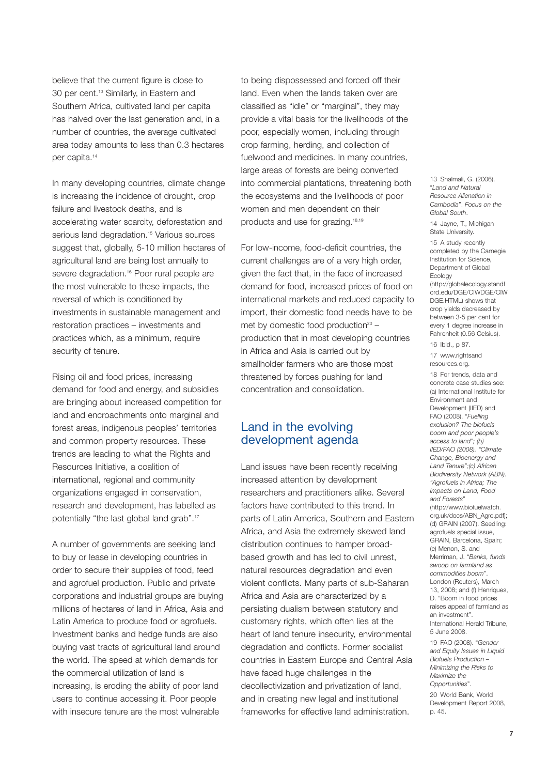believe that the current figure is close to 30 per cent.13 Similarly, in Eastern and Southern Africa, cultivated land per capita has halved over the last generation and, in a number of countries, the average cultivated area today amounts to less than 0.3 hectares per capita.<sup>14</sup>

In many developing countries, climate change is increasing the incidence of drought, crop failure and livestock deaths, and is accelerating water scarcity, deforestation and serious land degradation.<sup>15</sup> Various sources suggest that, globally, 5-10 million hectares of agricultural land are being lost annually to severe degradation.<sup>16</sup> Poor rural people are the most vulnerable to these impacts, the reversal of which is conditioned by investments in sustainable management and restoration practices – investments and practices which, as a minimum, require security of tenure.

Rising oil and food prices, increasing demand for food and energy, and subsidies are bringing about increased competition for land and encroachments onto marginal and forest areas, indigenous peoples' territories and common property resources. These trends are leading to what the Rights and Resources Initiative, a coalition of international, regional and community organizations engaged in conservation, research and development, has labelled as potentially "the last global land grab".<sup>17</sup>

A number of governments are seeking land to buy or lease in developing countries in order to secure their supplies of food, feed and agrofuel production. Public and private corporations and industrial groups are buying millions of hectares of land in Africa, Asia and Latin America to produce food or agrofuels. Investment banks and hedge funds are also buying vast tracts of agricultural land around the world. The speed at which demands for the commercial utilization of land is increasing, is eroding the ability of poor land users to continue accessing it. Poor people with insecure tenure are the most vulnerable

to being dispossessed and forced off their land. Even when the lands taken over are classified as "idle" or "marginal", they may provide a vital basis for the livelihoods of the poor, especially women, including through crop farming, herding, and collection of fuelwood and medicines. In many countries, large areas of forests are being converted into commercial plantations, threatening both the ecosystems and the livelihoods of poor women and men dependent on their products and use for grazing.18,19

For low-income, food-deficit countries, the current challenges are of a very high order, given the fact that, in the face of increased demand for food, increased prices of food on international markets and reduced capacity to import, their domestic food needs have to be met by domestic food production $20$ production that in most developing countries in Africa and Asia is carried out by smallholder farmers who are those most threatened by forces pushing for land concentration and consolidation.

## Land in the evolving development agenda

Land issues have been recently receiving increased attention by development researchers and practitioners alike. Several factors have contributed to this trend. In parts of Latin America, Southern and Eastern Africa, and Asia the extremely skewed land distribution continues to hamper broadbased growth and has led to civil unrest, natural resources degradation and even violent conflicts. Many parts of sub-Saharan Africa and Asia are characterized by a persisting dualism between statutory and customary rights, which often lies at the heart of land tenure insecurity, environmental degradation and conflicts. Former socialist countries in Eastern Europe and Central Asia have faced huge challenges in the decollectivization and privatization of land, and in creating new legal and institutional frameworks for effective land administration.

13 Shalmali, G. (2006). "*Land and Natural Resource Alienation in Cambodia*". *Focus on the Global South*.

14 Jayne, T. Michigan State University.

15 A study recently completed by the Carnegie Institution for Science, Department of Global Ecology (http://globalecology.standf ord.edu/DGE/CIWDGE/CIW DGE HTML) shows that crop yields decreased by between 3-5 per cent for every 1 degree increase in Fahrenheit (0.56 Celsius).

16 Ibid., p 87.

17 www.rightsand resources.org.

18 For trends, data and concrete case studies see: (a) International Institute for Environment and Development (IIED) and FAO (2008). "*Fuelling exclusion? The biofuels boom and poor people's access to land"; (b) IIED/FAO (2008). "Climate Change, Bioenergy and Land Tenure";(c) African Biodiversity Network (ABN). "Agrofuels in Africa; The Impacts on Land, Food and Forests*" (http://www.biofuelwatch. org.uk/docs/ABN\_Agro.pdf); (d) GRAIN (2007). Seedling: agrofuels special issue, GRAIN, Barcelona, Spain; (e) Menon, S. and Merriman, J. "*Banks, funds swoop on farmland as commodities boom*". London (Reuters), March 13, 2008; and (f) Henriques, D. "Boom in food prices raises appeal of farmland as an investment". International Herald Tribune, 5 June 2008. 19 FAO (2008). "*Gender*

*and Equity Issues in Liquid Biofuels Production – Minimizing the Risks to Maximize the Opportunities*".

20 World Bank, World Development Report 2008, p. 45.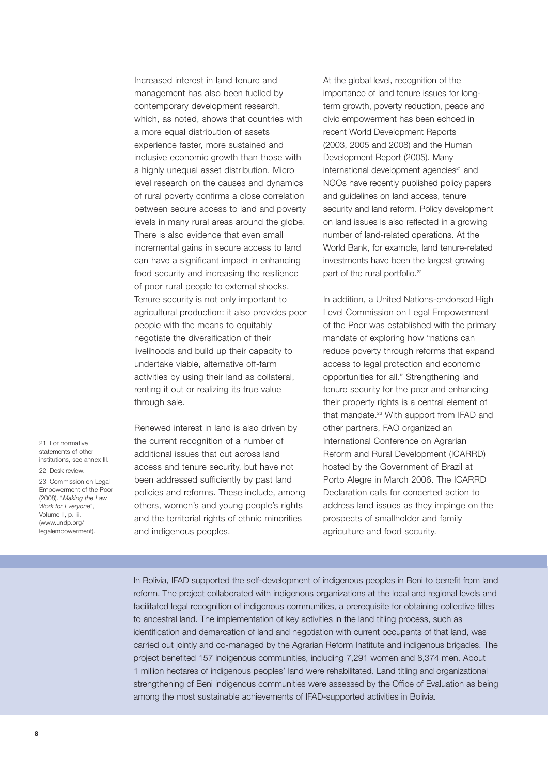Increased interest in land tenure and management has also been fuelled by contemporary development research, which, as noted, shows that countries with a more equal distribution of assets experience faster, more sustained and inclusive economic growth than those with a highly unequal asset distribution. Micro level research on the causes and dynamics of rural poverty confirms a close correlation between secure access to land and poverty levels in many rural areas around the globe. There is also evidence that even small incremental gains in secure access to land can have a significant impact in enhancing food security and increasing the resilience of poor rural people to external shocks. Tenure security is not only important to agricultural production: it also provides poor people with the means to equitably negotiate the diversification of their livelihoods and build up their capacity to undertake viable, alternative off-farm activities by using their land as collateral, renting it out or realizing its true value through sale.

21 For normative statements of other institutions, see annex III. 22 Desk review. 23 Commission on Legal Empowerment of the Poor (2008). "*Making the Law Work for Everyone*", Volume II, p. iii. (www.undp.org/ legalempowerment).

Renewed interest in land is also driven by the current recognition of a number of additional issues that cut across land access and tenure security, but have not been addressed sufficiently by past land policies and reforms. These include, among others, women's and young people's rights and the territorial rights of ethnic minorities and indigenous peoples.

At the global level, recognition of the importance of land tenure issues for longterm growth, poverty reduction, peace and civic empowerment has been echoed in recent World Development Reports (2003, 2005 and 2008) and the Human Development Report (2005). Many international development agencies<sup>21</sup> and NGOs have recently published policy papers and guidelines on land access, tenure security and land reform. Policy development on land issues is also reflected in a growing number of land-related operations. At the World Bank, for example, land tenure-related investments have been the largest growing part of the rural portfolio.<sup>22</sup>

In addition, a United Nations-endorsed High Level Commission on Legal Empowerment of the Poor was established with the primary mandate of exploring how "nations can reduce poverty through reforms that expand access to legal protection and economic opportunities for all." Strengthening land tenure security for the poor and enhancing their property rights is a central element of that mandate.<sup>23</sup> With support from IFAD and other partners, FAO organized an International Conference on Agrarian Reform and Rural Development (ICARRD) hosted by the Government of Brazil at Porto Alegre in March 2006. The ICARRD Declaration calls for concerted action to address land issues as they impinge on the prospects of smallholder and family agriculture and food security.

In Bolivia, IFAD supported the self-development of indigenous peoples in Beni to benefit from land reform. The project collaborated with indigenous organizations at the local and regional levels and facilitated legal recognition of indigenous communities, a prerequisite for obtaining collective titles to ancestral land. The implementation of key activities in the land titling process, such as identification and demarcation of land and negotiation with current occupants of that land, was carried out jointly and co-managed by the Agrarian Reform Institute and indigenous brigades. The project benefited 157 indigenous communities, including 7,291 women and 8,374 men. About 1 million hectares of indigenous peoples' land were rehabilitated. Land titling and organizational strengthening of Beni indigenous communities were assessed by the Office of Evaluation as being among the most sustainable achievements of IFAD-supported activities in Bolivia.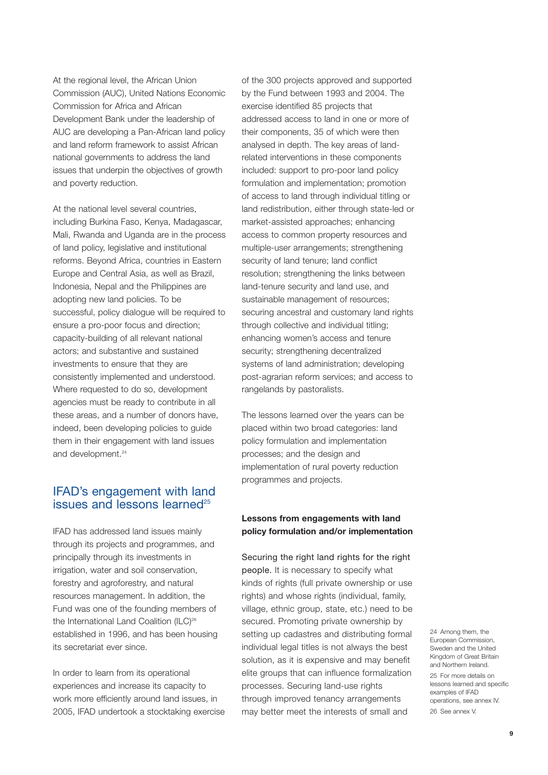At the regional level, the African Union Commission (AUC), United Nations Economic Commission for Africa and African Development Bank under the leadership of AUC are developing a Pan-African land policy and land reform framework to assist African national governments to address the land issues that underpin the objectives of growth and poverty reduction.

At the national level several countries, including Burkina Faso, Kenya, Madagascar, Mali, Rwanda and Uganda are in the process of land policy, legislative and institutional reforms. Beyond Africa, countries in Eastern Europe and Central Asia, as well as Brazil, Indonesia, Nepal and the Philippines are adopting new land policies. To be successful, policy dialogue will be required to ensure a pro-poor focus and direction; capacity-building of all relevant national actors; and substantive and sustained investments to ensure that they are consistently implemented and understood. Where requested to do so, development agencies must be ready to contribute in all these areas, and a number of donors have, indeed, been developing policies to guide them in their engagement with land issues and development.<sup>24</sup>

## IFAD's engagement with land issues and lessons learned<sup>25</sup>

IFAD has addressed land issues mainly through its projects and programmes, and principally through its investments in irrigation, water and soil conservation, forestry and agroforestry, and natural resources management. In addition, the Fund was one of the founding members of the International Land Coalition (ILC)<sup>26</sup> established in 1996, and has been housing its secretariat ever since.

In order to learn from its operational experiences and increase its capacity to work more efficiently around land issues, in 2005, IFAD undertook a stocktaking exercise of the 300 projects approved and supported by the Fund between 1993 and 2004. The exercise identified 85 projects that addressed access to land in one or more of their components, 35 of which were then analysed in depth. The key areas of landrelated interventions in these components included: support to pro-poor land policy formulation and implementation; promotion of access to land through individual titling or land redistribution, either through state-led or market-assisted approaches; enhancing access to common property resources and multiple-user arrangements; strengthening security of land tenure; land conflict resolution; strengthening the links between land-tenure security and land use, and sustainable management of resources; securing ancestral and customary land rights through collective and individual titling; enhancing women's access and tenure security; strengthening decentralized systems of land administration; developing post-agrarian reform services; and access to rangelands by pastoralists.

The lessons learned over the years can be placed within two broad categories: land policy formulation and implementation processes; and the design and implementation of rural poverty reduction programmes and projects.

## **Lessons from engagements with land policy formulation and/or implementation**

Securing the right land rights for the right people. It is necessary to specify what kinds of rights (full private ownership or use rights) and whose rights (individual, family, village, ethnic group, state, etc.) need to be secured. Promoting private ownership by setting up cadastres and distributing formal individual legal titles is not always the best solution, as it is expensive and may benefit elite groups that can influence formalization processes. Securing land-use rights through improved tenancy arrangements may better meet the interests of small and

24 Among them, the European Commission, Sweden and the United Kingdom of Great Britain and Northern Ireland. 25 For more details on lessons learned and specific examples of IFAD operations, see annex IV. 26 See annex V.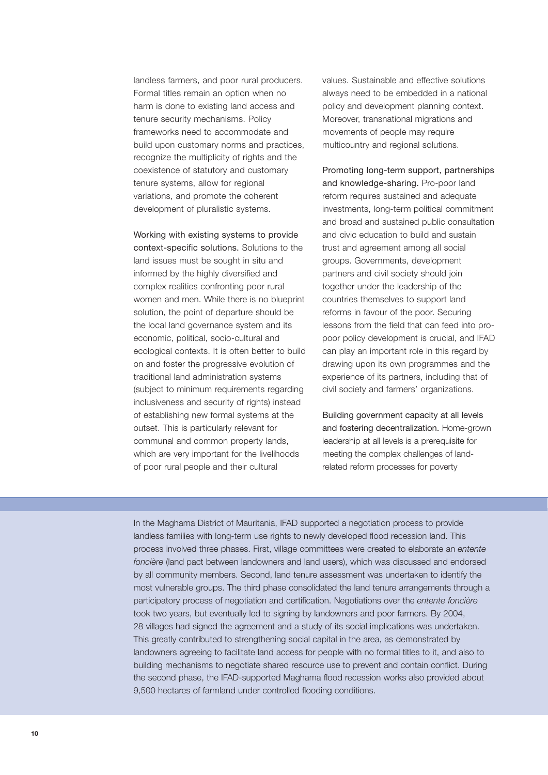landless farmers, and poor rural producers. Formal titles remain an option when no harm is done to existing land access and tenure security mechanisms. Policy frameworks need to accommodate and build upon customary norms and practices, recognize the multiplicity of rights and the coexistence of statutory and customary tenure systems, allow for regional variations, and promote the coherent development of pluralistic systems.

Working with existing systems to provide context-specific solutions. Solutions to the land issues must be sought in situ and informed by the highly diversified and complex realities confronting poor rural women and men. While there is no blueprint solution, the point of departure should be the local land governance system and its economic, political, socio-cultural and ecological contexts. It is often better to build on and foster the progressive evolution of traditional land administration systems (subject to minimum requirements regarding inclusiveness and security of rights) instead of establishing new formal systems at the outset. This is particularly relevant for communal and common property lands, which are very important for the livelihoods of poor rural people and their cultural

values. Sustainable and effective solutions always need to be embedded in a national policy and development planning context. Moreover, transnational migrations and movements of people may require multicountry and regional solutions.

Promoting long-term support, partnerships and knowledge-sharing. Pro-poor land reform requires sustained and adequate investments, long-term political commitment and broad and sustained public consultation and civic education to build and sustain trust and agreement among all social groups. Governments, development partners and civil society should join together under the leadership of the countries themselves to support land reforms in favour of the poor. Securing lessons from the field that can feed into propoor policy development is crucial, and IFAD can play an important role in this regard by drawing upon its own programmes and the experience of its partners, including that of civil society and farmers' organizations.

Building government capacity at all levels and fostering decentralization. Home-grown leadership at all levels is a prerequisite for meeting the complex challenges of landrelated reform processes for poverty

In the Maghama District of Mauritania, IFAD supported a negotiation process to provide landless families with long-term use rights to newly developed flood recession land. This process involved three phases. First, village committees were created to elaborate an *entente foncière* (land pact between landowners and land users), which was discussed and endorsed by all community members. Second, land tenure assessment was undertaken to identify the most vulnerable groups. The third phase consolidated the land tenure arrangements through a participatory process of negotiation and certification. Negotiations over the *entente foncière* took two years, but eventually led to signing by landowners and poor farmers. By 2004, 28 villages had signed the agreement and a study of its social implications was undertaken. This greatly contributed to strengthening social capital in the area, as demonstrated by landowners agreeing to facilitate land access for people with no formal titles to it, and also to building mechanisms to negotiate shared resource use to prevent and contain conflict. During the second phase, the IFAD-supported Maghama flood recession works also provided about 9,500 hectares of farmland under controlled flooding conditions.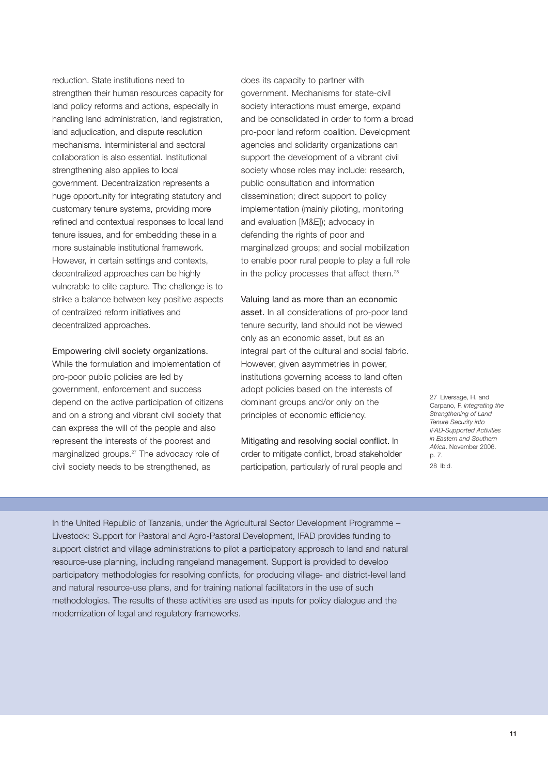reduction. State institutions need to strengthen their human resources capacity for land policy reforms and actions, especially in handling land administration, land registration, land adjudication, and dispute resolution mechanisms. Interministerial and sectoral collaboration is also essential. Institutional strengthening also applies to local government. Decentralization represents a huge opportunity for integrating statutory and customary tenure systems, providing more refined and contextual responses to local land tenure issues, and for embedding these in a more sustainable institutional framework. However, in certain settings and contexts, decentralized approaches can be highly vulnerable to elite capture. The challenge is to strike a balance between key positive aspects of centralized reform initiatives and decentralized approaches.

#### Empowering civil society organizations.

While the formulation and implementation of pro-poor public policies are led by government, enforcement and success depend on the active participation of citizens and on a strong and vibrant civil society that can express the will of the people and also represent the interests of the poorest and marginalized groups.<sup>27</sup> The advocacy role of civil society needs to be strengthened, as

does its capacity to partner with government. Mechanisms for state-civil society interactions must emerge, expand and be consolidated in order to form a broad pro-poor land reform coalition. Development agencies and solidarity organizations can support the development of a vibrant civil society whose roles may include: research, public consultation and information dissemination; direct support to policy implementation (mainly piloting, monitoring and evaluation [M&E]); advocacy in defending the rights of poor and marginalized groups; and social mobilization to enable poor rural people to play a full role in the policy processes that affect them.<sup>28</sup>

#### Valuing land as more than an economic

asset. In all considerations of pro-poor land tenure security, land should not be viewed only as an economic asset, but as an integral part of the cultural and social fabric. However, given asymmetries in power, institutions governing access to land often adopt policies based on the interests of dominant groups and/or only on the principles of economic efficiency.

Mitigating and resolving social conflict. In order to mitigate conflict, broad stakeholder participation, particularly of rural people and 27 Liversage, H. and Carpano, F. *Integrating the Strengthening of Land Tenure Security into IFAD-Supported Activities in Eastern and Southern Africa*. November 2006. p. 7. 28 Ibid.

In the United Republic of Tanzania, under the Agricultural Sector Development Programme – Livestock: Support for Pastoral and Agro-Pastoral Development, IFAD provides funding to support district and village administrations to pilot a participatory approach to land and natural resource-use planning, including rangeland management. Support is provided to develop participatory methodologies for resolving conflicts, for producing village- and district-level land and natural resource-use plans, and for training national facilitators in the use of such methodologies. The results of these activities are used as inputs for policy dialogue and the modernization of legal and regulatory frameworks.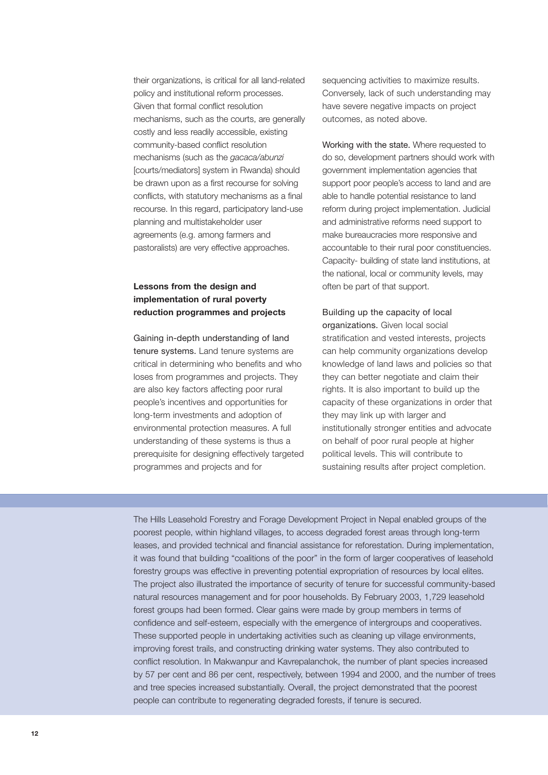their organizations, is critical for all land-related policy and institutional reform processes. Given that formal conflict resolution mechanisms, such as the courts, are generally costly and less readily accessible, existing community-based conflict resolution mechanisms (such as the *gacaca/abunzi* [courts/mediators] system in Rwanda) should be drawn upon as a first recourse for solving conflicts, with statutory mechanisms as a final recourse. In this regard, participatory land-use planning and multistakeholder user agreements (e.g. among farmers and pastoralists) are very effective approaches.

## **Lessons from the design and implementation of rural poverty reduction programmes and projects**

Gaining in-depth understanding of land tenure systems. Land tenure systems are critical in determining who benefits and who loses from programmes and projects. They are also key factors affecting poor rural people's incentives and opportunities for long-term investments and adoption of environmental protection measures. A full understanding of these systems is thus a prerequisite for designing effectively targeted programmes and projects and for

sequencing activities to maximize results. Conversely, lack of such understanding may have severe negative impacts on project outcomes, as noted above.

Working with the state. Where requested to do so, development partners should work with government implementation agencies that support poor people's access to land and are able to handle potential resistance to land reform during project implementation. Judicial and administrative reforms need support to make bureaucracies more responsive and accountable to their rural poor constituencies. Capacity- building of state land institutions, at the national, local or community levels, may often be part of that support.

Building up the capacity of local organizations. Given local social stratification and vested interests, projects can help community organizations develop knowledge of land laws and policies so that they can better negotiate and claim their rights. It is also important to build up the capacity of these organizations in order that they may link up with larger and institutionally stronger entities and advocate on behalf of poor rural people at higher political levels. This will contribute to sustaining results after project completion.

The Hills Leasehold Forestry and Forage Development Project in Nepal enabled groups of the poorest people, within highland villages, to access degraded forest areas through long-term leases, and provided technical and financial assistance for reforestation. During implementation, it was found that building "coalitions of the poor" in the form of larger cooperatives of leasehold forestry groups was effective in preventing potential expropriation of resources by local elites. The project also illustrated the importance of security of tenure for successful community-based natural resources management and for poor households. By February 2003, 1,729 leasehold forest groups had been formed. Clear gains were made by group members in terms of confidence and self-esteem, especially with the emergence of intergroups and cooperatives. These supported people in undertaking activities such as cleaning up village environments, improving forest trails, and constructing drinking water systems. They also contributed to conflict resolution. In Makwanpur and Kavrepalanchok, the number of plant species increased by 57 per cent and 86 per cent, respectively, between 1994 and 2000, and the number of trees and tree species increased substantially. Overall, the project demonstrated that the poorest people can contribute to regenerating degraded forests, if tenure is secured.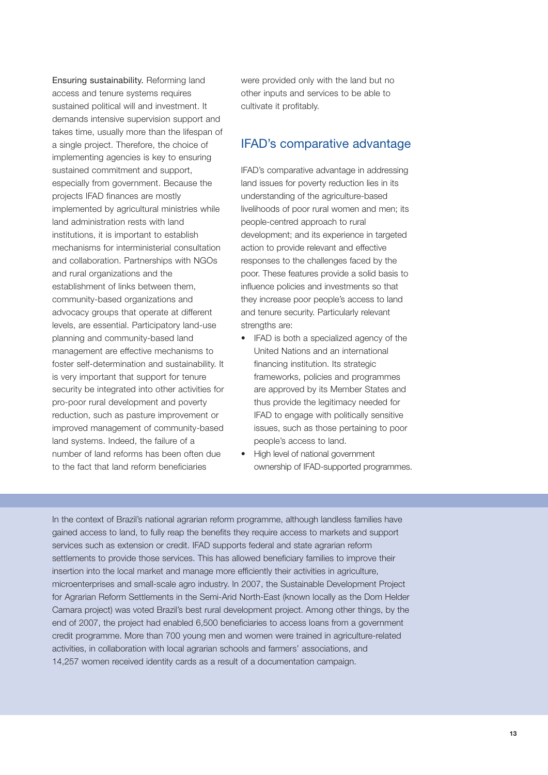Ensuring sustainability. Reforming land access and tenure systems requires sustained political will and investment. It demands intensive supervision support and takes time, usually more than the lifespan of a single project. Therefore, the choice of implementing agencies is key to ensuring sustained commitment and support, especially from government. Because the projects IFAD finances are mostly implemented by agricultural ministries while land administration rests with land institutions, it is important to establish mechanisms for interministerial consultation and collaboration. Partnerships with NGOs and rural organizations and the establishment of links between them, community-based organizations and advocacy groups that operate at different levels, are essential. Participatory land-use planning and community-based land management are effective mechanisms to foster self-determination and sustainability. It is very important that support for tenure security be integrated into other activities for pro-poor rural development and poverty reduction, such as pasture improvement or improved management of community-based land systems. Indeed, the failure of a number of land reforms has been often due to the fact that land reform beneficiaries

were provided only with the land but no other inputs and services to be able to cultivate it profitably.

## IFAD's comparative advantage

IFAD's comparative advantage in addressing land issues for poverty reduction lies in its understanding of the agriculture-based livelihoods of poor rural women and men; its people-centred approach to rural development; and its experience in targeted action to provide relevant and effective responses to the challenges faced by the poor. These features provide a solid basis to influence policies and investments so that they increase poor people's access to land and tenure security. Particularly relevant strengths are:

- IFAD is both a specialized agency of the United Nations and an international financing institution. Its strategic frameworks, policies and programmes are approved by its Member States and thus provide the legitimacy needed for IFAD to engage with politically sensitive issues, such as those pertaining to poor people's access to land.
- High level of national government ownership of IFAD-supported programmes.

In the context of Brazil's national agrarian reform programme, although landless families have gained access to land, to fully reap the benefits they require access to markets and support services such as extension or credit. IFAD supports federal and state agrarian reform settlements to provide those services. This has allowed beneficiary families to improve their insertion into the local market and manage more efficiently their activities in agriculture, microenterprises and small-scale agro industry. In 2007, the Sustainable Development Project for Agrarian Reform Settlements in the Semi-Arid North-East (known locally as the Dom Helder Camara project) was voted Brazil's best rural development project. Among other things, by the end of 2007, the project had enabled 6,500 beneficiaries to access loans from a government credit programme. More than 700 young men and women were trained in agriculture-related activities, in collaboration with local agrarian schools and farmers' associations, and 14,257 women received identity cards as a result of a documentation campaign.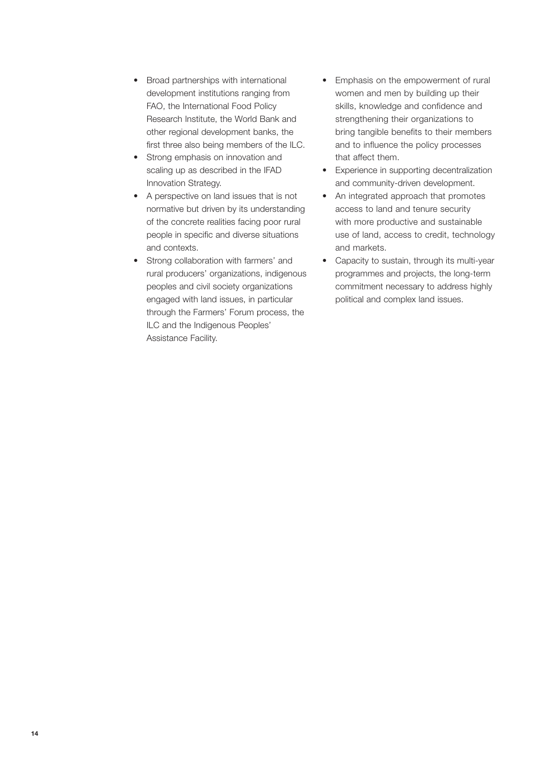- Broad partnerships with international development institutions ranging from FAO, the International Food Policy Research Institute, the World Bank and other regional development banks, the first three also being members of the ILC.
- Strong emphasis on innovation and scaling up as described in the IFAD Innovation Strategy.
- A perspective on land issues that is not normative but driven by its understanding of the concrete realities facing poor rural people in specific and diverse situations and contexts.
- Strong collaboration with farmers' and rural producers' organizations, indigenous peoples and civil society organizations engaged with land issues, in particular through the Farmers' Forum process, the ILC and the Indigenous Peoples' Assistance Facility.
- Emphasis on the empowerment of rural women and men by building up their skills, knowledge and confidence and strengthening their organizations to bring tangible benefits to their members and to influence the policy processes that affect them.
- Experience in supporting decentralization and community-driven development.
- An integrated approach that promotes access to land and tenure security with more productive and sustainable use of land, access to credit, technology and markets.
- Capacity to sustain, through its multi-year programmes and projects, the long-term commitment necessary to address highly political and complex land issues.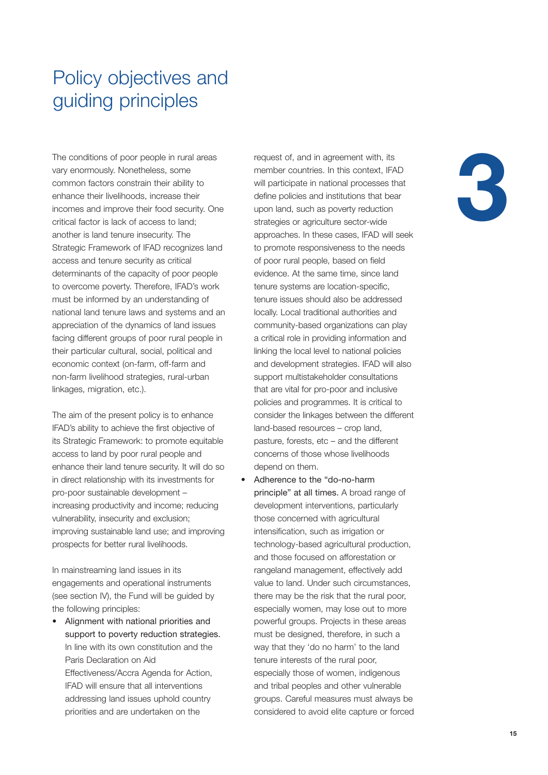# Policy objectives and guiding principles

The conditions of poor people in rural areas vary enormously. Nonetheless, some common factors constrain their ability to enhance their livelihoods, increase their incomes and improve their food security. One critical factor is lack of access to land; another is land tenure insecurity. The Strategic Framework of IFAD recognizes land access and tenure security as critical determinants of the capacity of poor people to overcome poverty. Therefore, IFAD's work must be informed by an understanding of national land tenure laws and systems and an appreciation of the dynamics of land issues facing different groups of poor rural people in their particular cultural, social, political and economic context (on-farm, off-farm and non-farm livelihood strategies, rural-urban linkages, migration, etc.).

The aim of the present policy is to enhance IFAD's ability to achieve the first objective of its Strategic Framework: to promote equitable access to land by poor rural people and enhance their land tenure security. It will do so in direct relationship with its investments for pro-poor sustainable development – increasing productivity and income; reducing vulnerability, insecurity and exclusion; improving sustainable land use; and improving prospects for better rural livelihoods.

In mainstreaming land issues in its engagements and operational instruments (see section IV), the Fund will be guided by the following principles:

• Alignment with national priorities and support to poverty reduction strategies. In line with its own constitution and the Paris Declaration on Aid Effectiveness/Accra Agenda for Action, IFAD will ensure that all interventions addressing land issues uphold country priorities and are undertaken on the

request of, and in agreement with, its member countries. In this context, IFAD will participate in national processes that define policies and institutions that bear upon land, such as poverty reduction strategies or agriculture sector-wide approaches. In these cases, IFAD will seek to promote responsiveness to the needs of poor rural people, based on field evidence. At the same time, since land tenure systems are location-specific, tenure issues should also be addressed locally. Local traditional authorities and community-based organizations can play a critical role in providing information and linking the local level to national policies and development strategies. IFAD will also support multistakeholder consultations that are vital for pro-poor and inclusive policies and programmes. It is critical to consider the linkages between the different land-based resources – crop land, pasture, forests, etc – and the different concerns of those whose livelihoods depend on them.

• Adherence to the "do-no-harm principle" at all times. A broad range of development interventions, particularly those concerned with agricultural intensification, such as irrigation or technology-based agricultural production, and those focused on afforestation or rangeland management, effectively add value to land. Under such circumstances, there may be the risk that the rural poor, especially women, may lose out to more powerful groups. Projects in these areas must be designed, therefore, in such a way that they 'do no harm' to the land tenure interests of the rural poor, especially those of women, indigenous and tribal peoples and other vulnerable groups. Careful measures must always be considered to avoid elite capture or forced

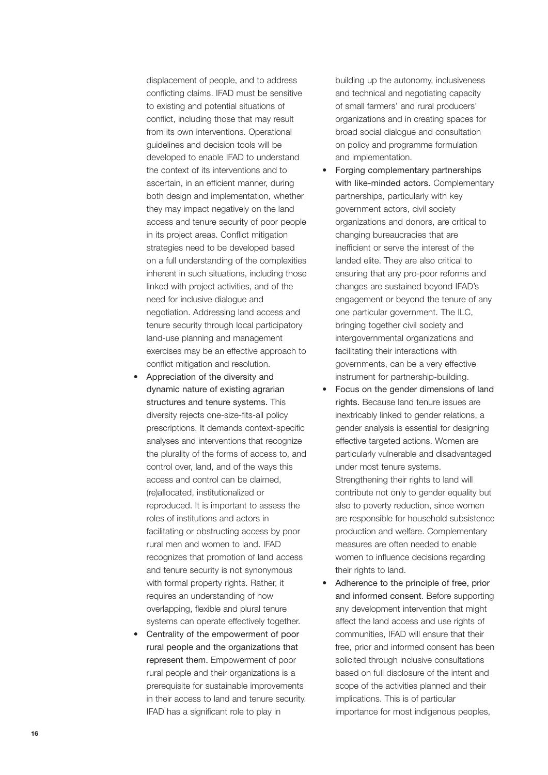displacement of people, and to address conflicting claims. IFAD must be sensitive to existing and potential situations of conflict, including those that may result from its own interventions. Operational guidelines and decision tools will be developed to enable IFAD to understand the context of its interventions and to ascertain, in an efficient manner, during both design and implementation, whether they may impact negatively on the land access and tenure security of poor people in its project areas. Conflict mitigation strategies need to be developed based on a full understanding of the complexities inherent in such situations, including those linked with project activities, and of the need for inclusive dialogue and negotiation. Addressing land access and tenure security through local participatory land-use planning and management exercises may be an effective approach to conflict mitigation and resolution.

- Appreciation of the diversity and dynamic nature of existing agrarian structures and tenure systems. This diversity rejects one-size-fits-all policy prescriptions. It demands context-specific analyses and interventions that recognize the plurality of the forms of access to, and control over, land, and of the ways this access and control can be claimed, (re)allocated, institutionalized or reproduced. It is important to assess the roles of institutions and actors in facilitating or obstructing access by poor rural men and women to land. IFAD recognizes that promotion of land access and tenure security is not synonymous with formal property rights. Rather, it requires an understanding of how overlapping, flexible and plural tenure systems can operate effectively together.
- Centrality of the empowerment of poor rural people and the organizations that represent them. Empowerment of poor rural people and their organizations is a prerequisite for sustainable improvements in their access to land and tenure security. IFAD has a significant role to play in

building up the autonomy, inclusiveness and technical and negotiating capacity of small farmers' and rural producers' organizations and in creating spaces for broad social dialogue and consultation on policy and programme formulation and implementation.

- Forging complementary partnerships with like-minded actors. Complementary partnerships, particularly with key government actors, civil society organizations and donors, are critical to changing bureaucracies that are inefficient or serve the interest of the landed elite. They are also critical to ensuring that any pro-poor reforms and changes are sustained beyond IFAD's engagement or beyond the tenure of any one particular government. The ILC, bringing together civil society and intergovernmental organizations and facilitating their interactions with governments, can be a very effective instrument for partnership-building.
- Focus on the gender dimensions of land rights. Because land tenure issues are inextricably linked to gender relations, a gender analysis is essential for designing effective targeted actions. Women are particularly vulnerable and disadvantaged under most tenure systems. Strengthening their rights to land will contribute not only to gender equality but also to poverty reduction, since women are responsible for household subsistence production and welfare. Complementary measures are often needed to enable women to influence decisions regarding their rights to land.
- Adherence to the principle of free, prior and informed consent. Before supporting any development intervention that might affect the land access and use rights of communities, IFAD will ensure that their free, prior and informed consent has been solicited through inclusive consultations based on full disclosure of the intent and scope of the activities planned and their implications. This is of particular importance for most indigenous peoples,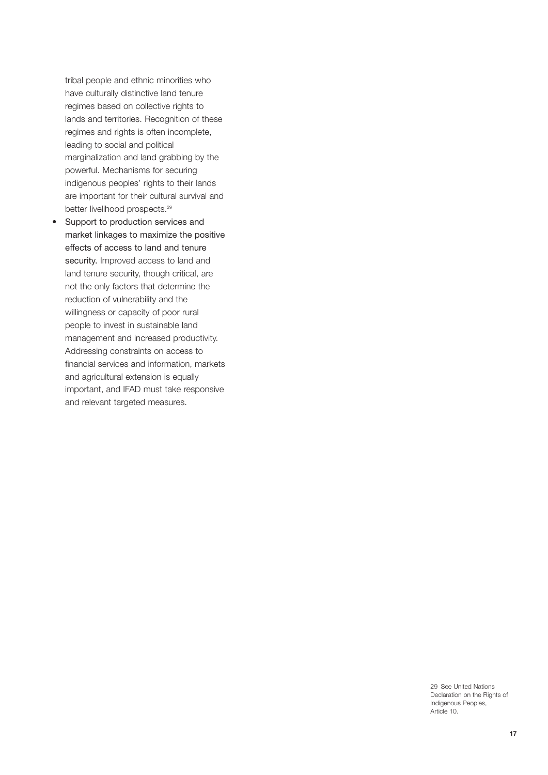tribal people and ethnic minorities who have culturally distinctive land tenure regimes based on collective rights to lands and territories. Recognition of these regimes and rights is often incomplete, leading to social and political marginalization and land grabbing by the powerful. Mechanisms for securing indigenous peoples' rights to their lands are important for their cultural survival and better livelihood prospects.<sup>29</sup>

• Support to production services and market linkages to maximize the positive effects of access to land and tenure security. Improved access to land and land tenure security, though critical, are not the only factors that determine the reduction of vulnerability and the willingness or capacity of poor rural people to invest in sustainable land management and increased productivity. Addressing constraints on access to financial services and information, markets and agricultural extension is equally important, and IFAD must take responsive and relevant targeted measures.

> 29 See United Nations Declaration on the Rights of Indigenous Peoples, Article 10.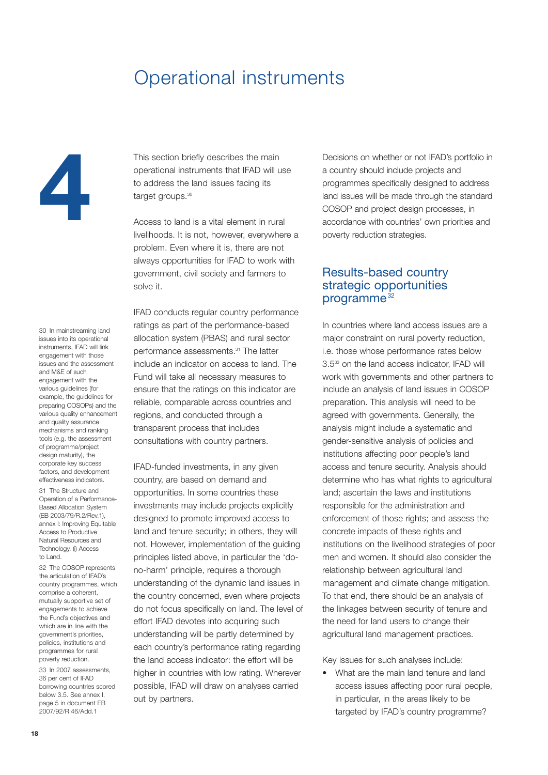# Operational instruments

**4**

30 In mainstreaming land issues into its operational instruments, IFAD will link engagement with those issues and the assessment and M&E of such engagement with the various guidelines (for example, the guidelines for preparing COSOPs) and the various quality enhancement and quality assurance mechanisms and ranking tools (e.g. the assessment of programme/project design maturity), the corporate key success factors, and development effectiveness indicators.

31 The Structure and Operation of a Performance-Based Allocation System (EB 2003/79/R.2/Rev.1), annex I: Improving Equitable Access to Productive Natural Resources and Technology, (i) Access to Land.

32 The COSOP represents the articulation of IFAD's country programmes, which comprise a coherent, mutually supportive set of engagements to achieve the Fund's objectives and which are in line with the government's priorities, policies, institutions and programmes for rural poverty reduction.

33 In 2007 assessments, 36 per cent of IFAD borrowing countries scored below 3.5. See annex I, page 5 in document EB 2007/92/R.46/Add.1

This section briefly describes the main operational instruments that IFAD will use to address the land issues facing its target groups.<sup>30</sup>

Access to land is a vital element in rural livelihoods. It is not, however, everywhere a problem. Even where it is, there are not always opportunities for IFAD to work with government, civil society and farmers to solve it.

IFAD conducts regular country performance ratings as part of the performance-based allocation system (PBAS) and rural sector performance assessments.<sup>31</sup> The latter include an indicator on access to land. The Fund will take all necessary measures to ensure that the ratings on this indicator are reliable, comparable across countries and regions, and conducted through a transparent process that includes consultations with country partners.

IFAD-funded investments, in any given country, are based on demand and opportunities. In some countries these investments may include projects explicitly designed to promote improved access to land and tenure security; in others, they will not. However, implementation of the guiding principles listed above, in particular the 'dono-harm' principle, requires a thorough understanding of the dynamic land issues in the country concerned, even where projects do not focus specifically on land. The level of effort IFAD devotes into acquiring such understanding will be partly determined by each country's performance rating regarding the land access indicator: the effort will be higher in countries with low rating. Wherever possible, IFAD will draw on analyses carried out by partners.

Decisions on whether or not IFAD's portfolio in a country should include projects and programmes specifically designed to address land issues will be made through the standard COSOP and project design processes, in accordance with countries' own priorities and poverty reduction strategies.

## Results-based country strategic opportunities programme<sup>32</sup>

In countries where land access issues are a major constraint on rural poverty reduction, i.e. those whose performance rates below 3.533 on the land access indicator, IFAD will work with governments and other partners to include an analysis of land issues in COSOP preparation. This analysis will need to be agreed with governments. Generally, the analysis might include a systematic and gender-sensitive analysis of policies and institutions affecting poor people's land access and tenure security. Analysis should determine who has what rights to agricultural land; ascertain the laws and institutions responsible for the administration and enforcement of those rights; and assess the concrete impacts of these rights and institutions on the livelihood strategies of poor men and women. It should also consider the relationship between agricultural land management and climate change mitigation. To that end, there should be an analysis of the linkages between security of tenure and the need for land users to change their agricultural land management practices.

Key issues for such analyses include:

• What are the main land tenure and land access issues affecting poor rural people, in particular, in the areas likely to be targeted by IFAD's country programme?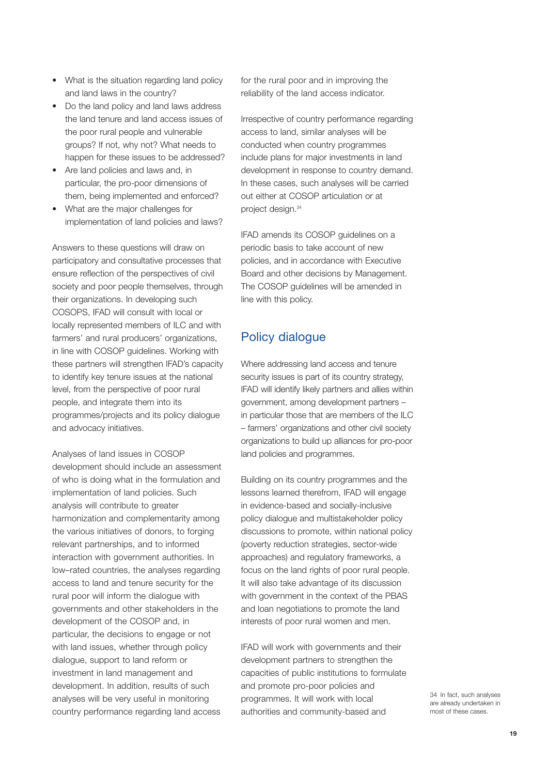- What is the situation regarding land policy and land laws in the country?
- Do the land policy and land laws address the land tenure and land access issues of the poor rural people and vulnerable groups? If not, why not? What needs to happen for these issues to be addressed?
- Are land policies and laws and, in particular, the pro-poor dimensions of them, being implemented and enforced?
- What are the major challenges for implementation of land policies and laws?

Answers to these questions will draw on participatory and consultative processes that ensure reflection of the perspectives of civil society and poor people themselves, through their organizations. In developing such COSOPS, IFAD will consult with local or locally represented members of ILC and with farmers' and rural producers' organizations, in line with COSOP guidelines. Working with these partners will strengthen IFAD's capacity to identify key tenure issues at the national level, from the perspective of poor rural people, and integrate them into its programmes/projects and its policy dialogue and advocacy initiatives.

Analyses of land issues in COSOP development should include an assessment of who is doing what in the formulation and implementation of land policies. Such analysis will contribute to greater harmonization and complementarity among the various initiatives of donors, to forging relevant partnerships, and to informed interaction with government authorities. In low–rated countries, the analyses regarding access to land and tenure security for the rural poor will inform the dialogue with governments and other stakeholders in the development of the COSOP and, in particular, the decisions to engage or not with land issues, whether through policy dialogue, support to land reform or investment in land management and development. In addition, results of such analyses will be very useful in monitoring country performance regarding land access

for the rural poor and in improving the reliability of the land access indicator.

Irrespective of country performance regarding access to land, similar analyses will be conducted when country programmes include plans for major investments in land development in response to country demand. In these cases, such analyses will be carried out either at COSOP articulation or at project design.<sup>34</sup>

IFAD amends its COSOP guidelines on a periodic basis to take account of new policies, and in accordance with Executive Board and other decisions by Management. The COSOP guidelines will be amended in line with this policy.

# Policy dialogue

Where addressing land access and tenure security issues is part of its country strategy, IFAD will identify likely partners and allies within government, among development partners – in particular those that are members of the ILC – farmers' organizations and other civil society organizations to build up alliances for pro-poor land policies and programmes.

Building on its country programmes and the lessons learned therefrom, IFAD will engage in evidence-based and socially-inclusive policy dialogue and multistakeholder policy discussions to promote, within national policy (poverty reduction strategies, sector-wide approaches) and regulatory frameworks, a focus on the land rights of poor rural people. It will also take advantage of its discussion with government in the context of the PBAS and loan negotiations to promote the land interests of poor rural women and men.

IFAD will work with governments and their development partners to strengthen the capacities of public institutions to formulate and promote pro-poor policies and programmes. It will work with local authorities and community-based and

34 In fact, such analyses are already undertaken in most of these cases.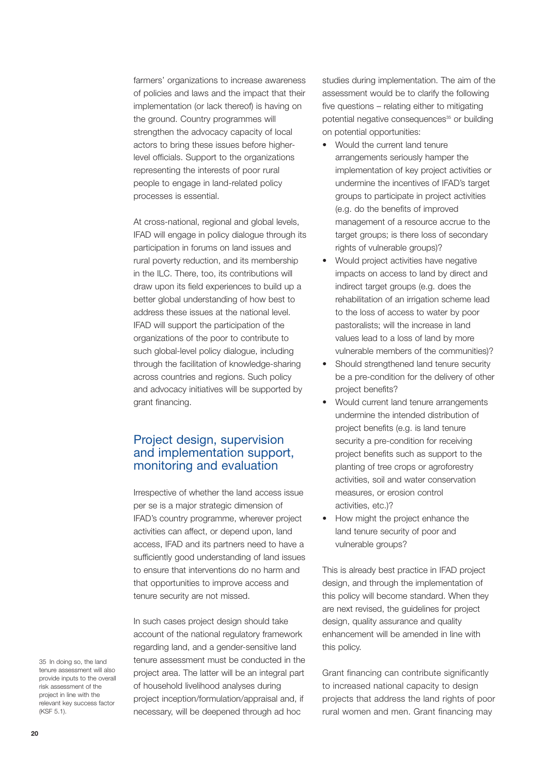farmers' organizations to increase awareness of policies and laws and the impact that their implementation (or lack thereof) is having on the ground. Country programmes will strengthen the advocacy capacity of local actors to bring these issues before higherlevel officials. Support to the organizations representing the interests of poor rural people to engage in land-related policy processes is essential.

At cross-national, regional and global levels, IFAD will engage in policy dialogue through its participation in forums on land issues and rural poverty reduction, and its membership in the ILC. There, too, its contributions will draw upon its field experiences to build up a better global understanding of how best to address these issues at the national level. IFAD will support the participation of the organizations of the poor to contribute to such global-level policy dialogue, including through the facilitation of knowledge-sharing across countries and regions. Such policy and advocacy initiatives will be supported by grant financing.

# Project design, supervision and implementation support, monitoring and evaluation

Irrespective of whether the land access issue per se is a major strategic dimension of IFAD's country programme, wherever project activities can affect, or depend upon, land access, IFAD and its partners need to have a sufficiently good understanding of land issues to ensure that interventions do no harm and that opportunities to improve access and tenure security are not missed.

In such cases project design should take account of the national regulatory framework regarding land, and a gender-sensitive land tenure assessment must be conducted in the project area. The latter will be an integral part of household livelihood analyses during project inception/formulation/appraisal and, if necessary, will be deepened through ad hoc

studies during implementation. The aim of the assessment would be to clarify the following five questions – relating either to mitigating potential negative consequences<sup>35</sup> or building on potential opportunities:

- Would the current land tenure arrangements seriously hamper the implementation of key project activities or undermine the incentives of IFAD's target groups to participate in project activities (e.g. do the benefits of improved management of a resource accrue to the target groups; is there loss of secondary rights of vulnerable groups)?
- Would project activities have negative impacts on access to land by direct and indirect target groups (e.g. does the rehabilitation of an irrigation scheme lead to the loss of access to water by poor pastoralists; will the increase in land values lead to a loss of land by more vulnerable members of the communities)?
- Should strengthened land tenure security be a pre-condition for the delivery of other project benefits?
- Would current land tenure arrangements undermine the intended distribution of project benefits (e.g. is land tenure security a pre-condition for receiving project benefits such as support to the planting of tree crops or agroforestry activities, soil and water conservation measures, or erosion control activities, etc.)?
- How might the project enhance the land tenure security of poor and vulnerable groups?

This is already best practice in IFAD project design, and through the implementation of this policy will become standard. When they are next revised, the guidelines for project design, quality assurance and quality enhancement will be amended in line with this policy.

Grant financing can contribute significantly to increased national capacity to design projects that address the land rights of poor rural women and men. Grant financing may

35 In doing so, the land tenure assessment will also provide inputs to the overall risk assessment of the project in line with the relevant key success factor (KSF 5.1).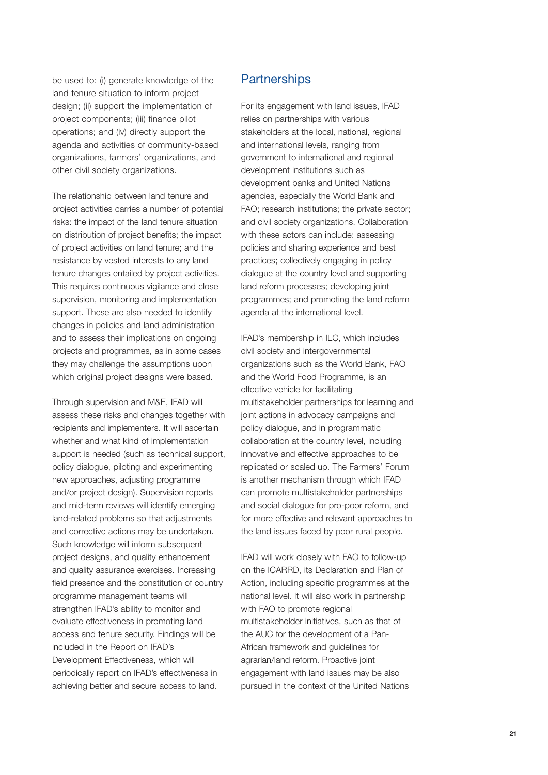be used to: (i) generate knowledge of the land tenure situation to inform project design; (ii) support the implementation of project components; (iii) finance pilot operations; and (iv) directly support the agenda and activities of community-based organizations, farmers' organizations, and other civil society organizations.

The relationship between land tenure and project activities carries a number of potential risks: the impact of the land tenure situation on distribution of project benefits; the impact of project activities on land tenure; and the resistance by vested interests to any land tenure changes entailed by project activities. This requires continuous vigilance and close supervision, monitoring and implementation support. These are also needed to identify changes in policies and land administration and to assess their implications on ongoing projects and programmes, as in some cases they may challenge the assumptions upon which original project designs were based.

Through supervision and M&E, IFAD will assess these risks and changes together with recipients and implementers. It will ascertain whether and what kind of implementation support is needed (such as technical support, policy dialogue, piloting and experimenting new approaches, adjusting programme and/or project design). Supervision reports and mid-term reviews will identify emerging land-related problems so that adjustments and corrective actions may be undertaken. Such knowledge will inform subsequent project designs, and quality enhancement and quality assurance exercises. Increasing field presence and the constitution of country programme management teams will strengthen IFAD's ability to monitor and evaluate effectiveness in promoting land access and tenure security. Findings will be included in the Report on IFAD's Development Effectiveness, which will periodically report on IFAD's effectiveness in achieving better and secure access to land.

## **Partnerships**

For its engagement with land issues, IFAD relies on partnerships with various stakeholders at the local, national, regional and international levels, ranging from government to international and regional development institutions such as development banks and United Nations agencies, especially the World Bank and FAO; research institutions; the private sector; and civil society organizations. Collaboration with these actors can include: assessing policies and sharing experience and best practices; collectively engaging in policy dialogue at the country level and supporting land reform processes; developing joint programmes; and promoting the land reform agenda at the international level.

IFAD's membership in ILC, which includes civil society and intergovernmental organizations such as the World Bank, FAO and the World Food Programme, is an effective vehicle for facilitating multistakeholder partnerships for learning and joint actions in advocacy campaigns and policy dialogue, and in programmatic collaboration at the country level, including innovative and effective approaches to be replicated or scaled up. The Farmers' Forum is another mechanism through which IFAD can promote multistakeholder partnerships and social dialogue for pro-poor reform, and for more effective and relevant approaches to the land issues faced by poor rural people.

IFAD will work closely with FAO to follow-up on the ICARRD, its Declaration and Plan of Action, including specific programmes at the national level. It will also work in partnership with FAO to promote regional multistakeholder initiatives, such as that of the AUC for the development of a Pan-African framework and guidelines for agrarian/land reform. Proactive joint engagement with land issues may be also pursued in the context of the United Nations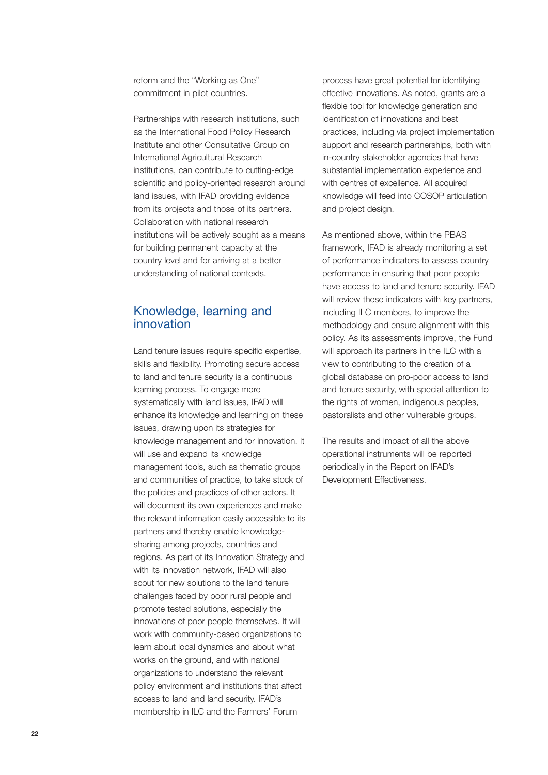reform and the "Working as One" commitment in pilot countries.

Partnerships with research institutions, such as the International Food Policy Research Institute and other Consultative Group on International Agricultural Research institutions, can contribute to cutting-edge scientific and policy-oriented research around land issues, with IFAD providing evidence from its projects and those of its partners. Collaboration with national research institutions will be actively sought as a means for building permanent capacity at the country level and for arriving at a better understanding of national contexts.

## Knowledge, learning and innovation

Land tenure issues require specific expertise, skills and flexibility. Promoting secure access to land and tenure security is a continuous learning process. To engage more systematically with land issues, IFAD will enhance its knowledge and learning on these issues, drawing upon its strategies for knowledge management and for innovation. It will use and expand its knowledge management tools, such as thematic groups and communities of practice, to take stock of the policies and practices of other actors. It will document its own experiences and make the relevant information easily accessible to its partners and thereby enable knowledgesharing among projects, countries and regions. As part of its Innovation Strategy and with its innovation network, IFAD will also scout for new solutions to the land tenure challenges faced by poor rural people and promote tested solutions, especially the innovations of poor people themselves. It will work with community-based organizations to learn about local dynamics and about what works on the ground, and with national organizations to understand the relevant policy environment and institutions that affect access to land and land security. IFAD's membership in ILC and the Farmers' Forum

process have great potential for identifying effective innovations. As noted, grants are a flexible tool for knowledge generation and identification of innovations and best practices, including via project implementation support and research partnerships, both with in-country stakeholder agencies that have substantial implementation experience and with centres of excellence. All acquired knowledge will feed into COSOP articulation and project design.

As mentioned above, within the PBAS framework, IFAD is already monitoring a set of performance indicators to assess country performance in ensuring that poor people have access to land and tenure security. IFAD will review these indicators with key partners, including ILC members, to improve the methodology and ensure alignment with this policy. As its assessments improve, the Fund will approach its partners in the ILC with a view to contributing to the creation of a global database on pro-poor access to land and tenure security, with special attention to the rights of women, indigenous peoples, pastoralists and other vulnerable groups.

The results and impact of all the above operational instruments will be reported periodically in the Report on IFAD's Development Effectiveness.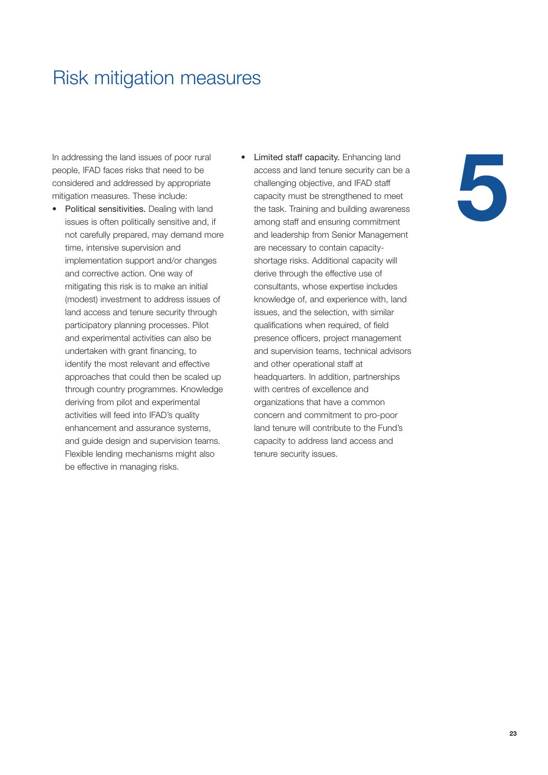# Risk mitigation measures

In addressing the land issues of poor rural people, IFAD faces risks that need to be considered and addressed by appropriate mitigation measures. These include:

- Political sensitivities. Dealing with land issues is often politically sensitive and, if not carefully prepared, may demand more time, intensive supervision and implementation support and/or changes and corrective action. One way of mitigating this risk is to make an initial (modest) investment to address issues of land access and tenure security through participatory planning processes. Pilot and experimental activities can also be undertaken with grant financing, to identify the most relevant and effective approaches that could then be scaled up through country programmes. Knowledge deriving from pilot and experimental activities will feed into IFAD's quality enhancement and assurance systems, and guide design and supervision teams. Flexible lending mechanisms might also be effective in managing risks.
- Limited staff capacity. Enhancing land access and land tenure security can be a challenging objective, and IFAD staff capacity must be strengthened to meet the task. Training and building awareness among staff and ensuring commitment and leadership from Senior Management are necessary to contain capacityshortage risks. Additional capacity will derive through the effective use of consultants, whose expertise includes knowledge of, and experience with, land issues, and the selection, with similar qualifications when required, of field presence officers, project management and supervision teams, technical advisors and other operational staff at headquarters. In addition, partnerships with centres of excellence and organizations that have a common concern and commitment to pro-poor land tenure will contribute to the Fund's capacity to address land access and tenure security issues.

# **5**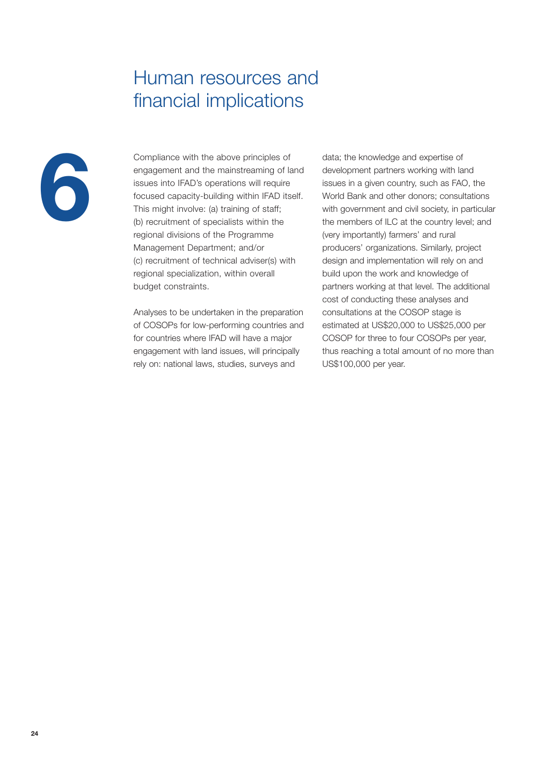# Human resources and financial implications



Compliance with the above principles of engagement and the mainstreaming of land issues into IFAD's operations will require focused capacity-building within IFAD itself. This might involve: (a) training of staff; (b) recruitment of specialists within the regional divisions of the Programme Management Department; and/or (c) recruitment of technical adviser(s) with regional specialization, within overall budget constraints.

Analyses to be undertaken in the preparation of COSOPs for low-performing countries and for countries where IFAD will have a major engagement with land issues, will principally rely on: national laws, studies, surveys and

data; the knowledge and expertise of development partners working with land issues in a given country, such as FAO, the World Bank and other donors; consultations with government and civil society, in particular the members of ILC at the country level; and (very importantly) farmers' and rural producers' organizations. Similarly, project design and implementation will rely on and build upon the work and knowledge of partners working at that level. The additional cost of conducting these analyses and consultations at the COSOP stage is estimated at US\$20,000 to US\$25,000 per COSOP for three to four COSOPs per year, thus reaching a total amount of no more than US\$100,000 per year.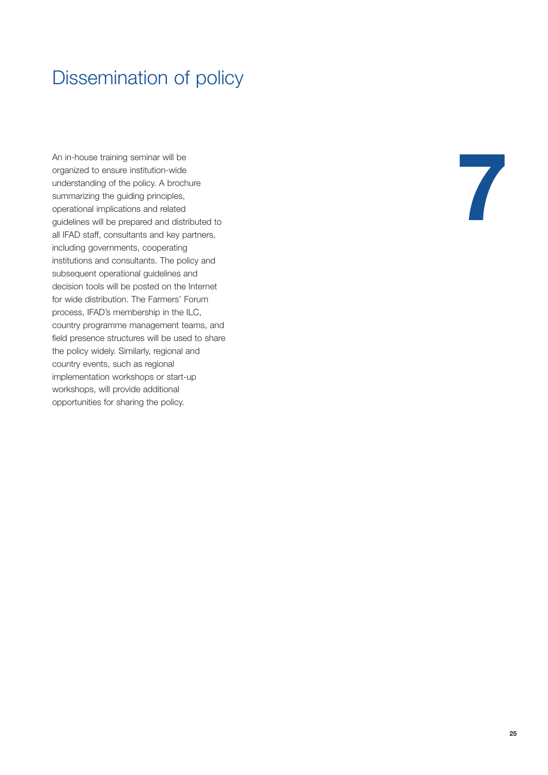# Dissemination of policy

An in-house training seminar will be organized to ensure institution-wide understanding of the policy. A brochure summarizing the guiding principles, operational implications and related guidelines will be prepared and distributed to all IFAD staff, consultants and key partners, including governments, cooperating institutions and consultants. The policy and subsequent operational guidelines and decision tools will be posted on the Internet for wide distribution. The Farmers' Forum process, IFAD's membership in the ILC, country programme management teams, and field presence structures will be used to share the policy widely. Similarly, regional and country events, such as regional implementation workshops or start-up workshops, will provide additional opportunities for sharing the policy.

**7**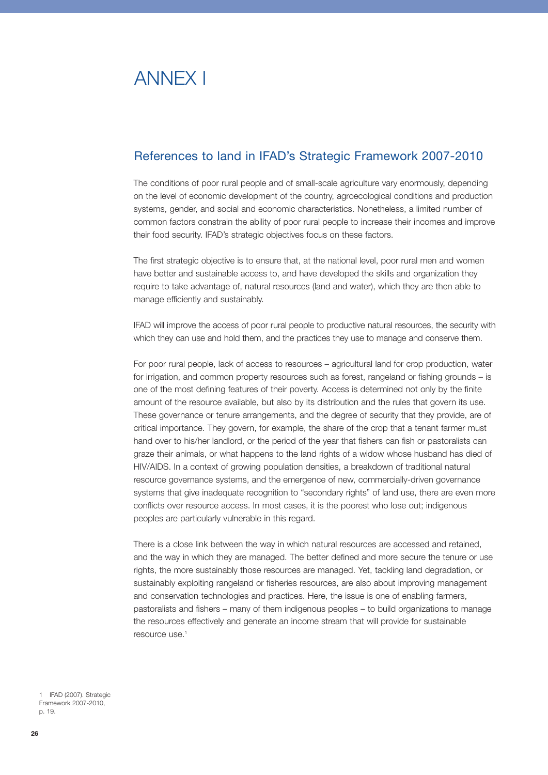# ANNEX I

# References to land in IFAD's Strategic Framework 2007-2010

The conditions of poor rural people and of small-scale agriculture vary enormously, depending on the level of economic development of the country, agroecological conditions and production systems, gender, and social and economic characteristics. Nonetheless, a limited number of common factors constrain the ability of poor rural people to increase their incomes and improve their food security. IFAD's strategic objectives focus on these factors.

The first strategic objective is to ensure that, at the national level, poor rural men and women have better and sustainable access to, and have developed the skills and organization they require to take advantage of, natural resources (land and water), which they are then able to manage efficiently and sustainably.

IFAD will improve the access of poor rural people to productive natural resources, the security with which they can use and hold them, and the practices they use to manage and conserve them.

For poor rural people, lack of access to resources – agricultural land for crop production, water for irrigation, and common property resources such as forest, rangeland or fishing grounds – is one of the most defining features of their poverty. Access is determined not only by the finite amount of the resource available, but also by its distribution and the rules that govern its use. These governance or tenure arrangements, and the degree of security that they provide, are of critical importance. They govern, for example, the share of the crop that a tenant farmer must hand over to his/her landlord, or the period of the year that fishers can fish or pastoralists can graze their animals, or what happens to the land rights of a widow whose husband has died of HIV/AIDS. In a context of growing population densities, a breakdown of traditional natural resource governance systems, and the emergence of new, commercially-driven governance systems that give inadequate recognition to "secondary rights" of land use, there are even more conflicts over resource access. In most cases, it is the poorest who lose out; indigenous peoples are particularly vulnerable in this regard.

There is a close link between the way in which natural resources are accessed and retained, and the way in which they are managed. The better defined and more secure the tenure or use rights, the more sustainably those resources are managed. Yet, tackling land degradation, or sustainably exploiting rangeland or fisheries resources, are also about improving management and conservation technologies and practices. Here, the issue is one of enabling farmers, pastoralists and fishers – many of them indigenous peoples – to build organizations to manage the resources effectively and generate an income stream that will provide for sustainable resource use.1

1 IFAD (2007). Strategic Framework 2007-2010, p. 19.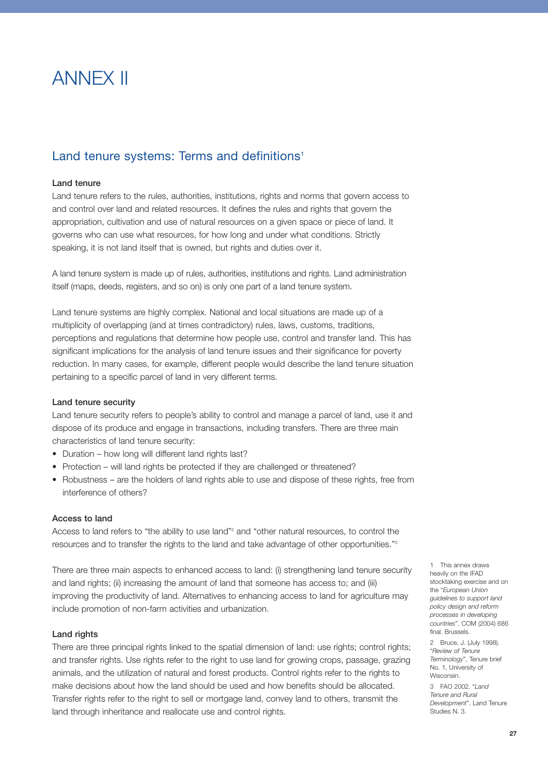# ANNEX II

# Land tenure systems: Terms and definitions<sup>1</sup>

## Land tenure

Land tenure refers to the rules, authorities, institutions, rights and norms that govern access to and control over land and related resources. It defines the rules and rights that govern the appropriation, cultivation and use of natural resources on a given space or piece of land. It governs who can use what resources, for how long and under what conditions. Strictly speaking, it is not land itself that is owned, but rights and duties over it.

A land tenure system is made up of rules, authorities, institutions and rights. Land administration itself (maps, deeds, registers, and so on) is only one part of a land tenure system.

Land tenure systems are highly complex. National and local situations are made up of a multiplicity of overlapping (and at times contradictory) rules, laws, customs, traditions, perceptions and regulations that determine how people use, control and transfer land. This has significant implications for the analysis of land tenure issues and their significance for poverty reduction. In many cases, for example, different people would describe the land tenure situation pertaining to a specific parcel of land in very different terms.

#### Land tenure security

Land tenure security refers to people's ability to control and manage a parcel of land, use it and dispose of its produce and engage in transactions, including transfers. There are three main characteristics of land tenure security:

- Duration how long will different land rights last?
- Protection will land rights be protected if they are challenged or threatened?
- Robustness are the holders of land rights able to use and dispose of these rights, free from interference of others?

#### Access to land

Access to land refers to "the ability to use land"<sup>2</sup> and "other natural resources, to control the resources and to transfer the rights to the land and take advantage of other opportunities."3

There are three main aspects to enhanced access to land: (i) strengthening land tenure security and land rights; (ii) increasing the amount of land that someone has access to; and (iii) improving the productivity of land. Alternatives to enhancing access to land for agriculture may include promotion of non-farm activities and urbanization.

#### Land rights

There are three principal rights linked to the spatial dimension of land: use rights; control rights; and transfer rights. Use rights refer to the right to use land for growing crops, passage, grazing animals, and the utilization of natural and forest products. Control rights refer to the rights to make decisions about how the land should be used and how benefits should be allocated. Transfer rights refer to the right to sell or mortgage land, convey land to others, transmit the land through inheritance and reallocate use and control rights.

1 This annex draws heavily on the IFAD stocktaking exercise and on the "*European Union guidelines to support land policy design and reform processes in developing countries*". COM (2004) 686 final. Brussels.

2 Bruce, J. (July 1998). "*Review of Tenure Terminology*", Tenure brief No. 1, University of **Wisconsin** 

3 FAO 2002. "*Land Tenure and Rural Development*". Land Tenure Studies N. 3.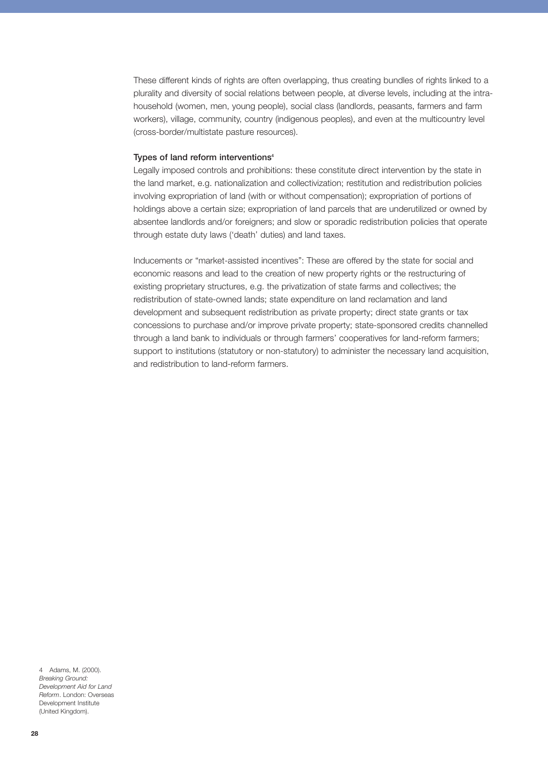These different kinds of rights are often overlapping, thus creating bundles of rights linked to a plurality and diversity of social relations between people, at diverse levels, including at the intrahousehold (women, men, young people), social class (landlords, peasants, farmers and farm workers), village, community, country (indigenous peoples), and even at the multicountry level (cross-border/multistate pasture resources).

#### Types of land reform interventions<sup>4</sup>

Legally imposed controls and prohibitions: these constitute direct intervention by the state in the land market, e.g. nationalization and collectivization; restitution and redistribution policies involving expropriation of land (with or without compensation); expropriation of portions of holdings above a certain size; expropriation of land parcels that are underutilized or owned by absentee landlords and/or foreigners; and slow or sporadic redistribution policies that operate through estate duty laws ('death' duties) and land taxes.

Inducements or "market-assisted incentives": These are offered by the state for social and economic reasons and lead to the creation of new property rights or the restructuring of existing proprietary structures, e.g. the privatization of state farms and collectives; the redistribution of state-owned lands; state expenditure on land reclamation and land development and subsequent redistribution as private property; direct state grants or tax concessions to purchase and/or improve private property; state-sponsored credits channelled through a land bank to individuals or through farmers' cooperatives for land-reform farmers; support to institutions (statutory or non-statutory) to administer the necessary land acquisition, and redistribution to land-reform farmers.

4 Adams, M. (2000). *Breaking Ground: Development Aid for Land Reform*. London: Overseas Development Institute (United Kingdom).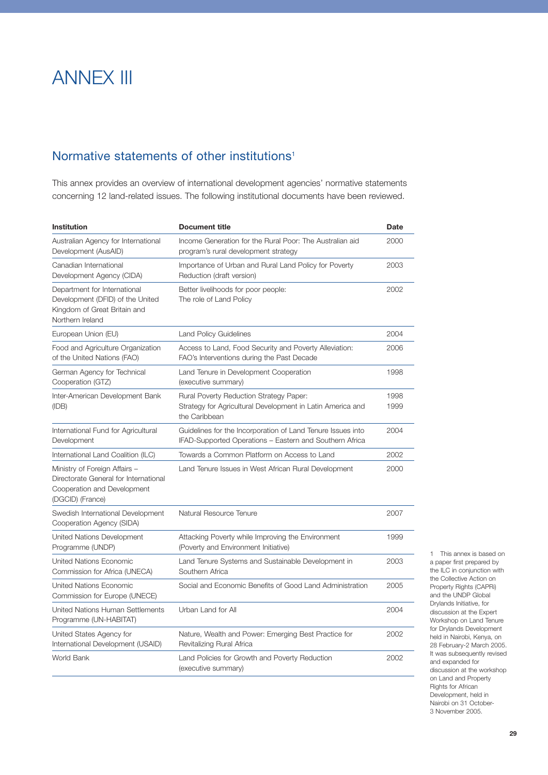# ANNEX III

# Normative statements of other institutions<sup>1</sup>

This annex provides an overview of international development agencies' normative statements concerning 12 land-related issues. The following institutional documents have been reviewed.

| <b>Institution</b>                                                                                                        | <b>Document title</b>                                                                                                  | <b>Date</b>  |
|---------------------------------------------------------------------------------------------------------------------------|------------------------------------------------------------------------------------------------------------------------|--------------|
| Australian Agency for International<br>Development (AusAID)                                                               | Income Generation for the Rural Poor: The Australian aid<br>program's rural development strategy                       | 2000         |
| Canadian International<br>Development Agency (CIDA)                                                                       | Importance of Urban and Rural Land Policy for Poverty<br>Reduction (draft version)                                     | 2003         |
| Department for International<br>Development (DFID) of the United<br>Kingdom of Great Britain and<br>Northern Ireland      | Better livelihoods for poor people:<br>The role of Land Policy                                                         | 2002         |
| European Union (EU)                                                                                                       | <b>Land Policy Guidelines</b>                                                                                          | 2004         |
| Food and Agriculture Organization<br>of the United Nations (FAO)                                                          | Access to Land, Food Security and Poverty Alleviation:<br>FAO's Interventions during the Past Decade                   | 2006         |
| German Agency for Technical<br>Cooperation (GTZ)                                                                          | Land Tenure in Development Cooperation<br>(executive summary)                                                          | 1998         |
| Inter-American Development Bank<br>(IDB)                                                                                  | Rural Poverty Reduction Strategy Paper:<br>Strategy for Agricultural Development in Latin America and<br>the Caribbean | 1998<br>1999 |
| International Fund for Agricultural<br>Development                                                                        | Guidelines for the Incorporation of Land Tenure Issues into<br>IFAD-Supported Operations - Eastern and Southern Africa | 2004         |
| International Land Coalition (ILC)                                                                                        | Towards a Common Platform on Access to Land                                                                            | 2002         |
| Ministry of Foreign Affairs -<br>Directorate General for International<br>Cooperation and Development<br>(DGCID) (France) | Land Tenure Issues in West African Rural Development                                                                   | 2000         |
| Swedish International Development<br>Cooperation Agency (SIDA)                                                            | Natural Resource Tenure                                                                                                | 2007         |
| United Nations Development<br>Programme (UNDP)                                                                            | Attacking Poverty while Improving the Environment<br>(Poverty and Environment Initiative)                              | 1999         |
| <b>United Nations Economic</b><br>Commission for Africa (UNECA)                                                           | Land Tenure Systems and Sustainable Development in<br>Southern Africa                                                  | 2003         |
| United Nations Economic<br>Commission for Europe (UNECE)                                                                  | Social and Economic Benefits of Good Land Administration                                                               | 2005         |
| United Nations Human Settlements<br>Programme (UN-HABITAT)                                                                | Urban Land for All                                                                                                     | 2004         |
| United States Agency for<br>International Development (USAID)                                                             | Nature, Wealth and Power: Emerging Best Practice for<br>Revitalizing Rural Africa                                      | 2002         |
| World Bank                                                                                                                | Land Policies for Growth and Poverty Reduction<br>(executive summary)                                                  | 2002         |

1 This annex is based on a paper first prepared by the ILC in conjunction with the Collective Action on Property Rights (CAPRi) and the UNDP Global Drylands Initiative, for discussion at the Expert Workshop on Land Tenure for Drylands Development held in Nairobi, Kenya, on 28 February-2 March 2005. It was subsequently revised and expanded for discussion at the workshop on Land and Property Rights for African Development, held in Nairobi on 31 October-3 November 2005.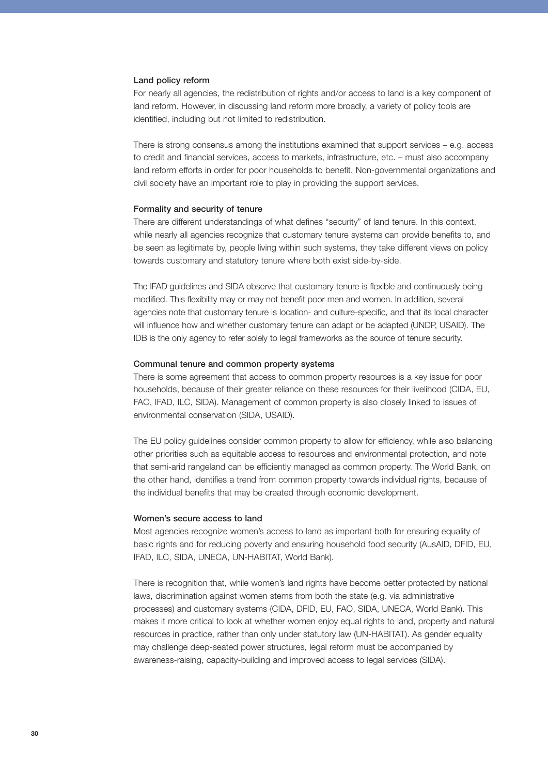#### Land policy reform

For nearly all agencies, the redistribution of rights and/or access to land is a key component of land reform. However, in discussing land reform more broadly, a variety of policy tools are identified, including but not limited to redistribution.

There is strong consensus among the institutions examined that support services – e.g. access to credit and financial services, access to markets, infrastructure, etc. – must also accompany land reform efforts in order for poor households to benefit. Non-governmental organizations and civil society have an important role to play in providing the support services.

#### Formality and security of tenure

There are different understandings of what defines "security" of land tenure. In this context, while nearly all agencies recognize that customary tenure systems can provide benefits to, and be seen as legitimate by, people living within such systems, they take different views on policy towards customary and statutory tenure where both exist side-by-side.

The IFAD guidelines and SIDA observe that customary tenure is flexible and continuously being modified. This flexibility may or may not benefit poor men and women. In addition, several agencies note that customary tenure is location- and culture-specific, and that its local character will influence how and whether customary tenure can adapt or be adapted (UNDP, USAID). The IDB is the only agency to refer solely to legal frameworks as the source of tenure security.

#### Communal tenure and common property systems

There is some agreement that access to common property resources is a key issue for poor households, because of their greater reliance on these resources for their livelihood (CIDA, EU, FAO, IFAD, ILC, SIDA). Management of common property is also closely linked to issues of environmental conservation (SIDA, USAID).

The EU policy guidelines consider common property to allow for efficiency, while also balancing other priorities such as equitable access to resources and environmental protection, and note that semi-arid rangeland can be efficiently managed as common property. The World Bank, on the other hand, identifies a trend from common property towards individual rights, because of the individual benefits that may be created through economic development.

#### Women's secure access to land

Most agencies recognize women's access to land as important both for ensuring equality of basic rights and for reducing poverty and ensuring household food security (AusAID, DFID, EU, IFAD, ILC, SIDA, UNECA, UN-HABITAT, World Bank).

There is recognition that, while women's land rights have become better protected by national laws, discrimination against women stems from both the state (e.g. via administrative processes) and customary systems (CIDA, DFID, EU, FAO, SIDA, UNECA, World Bank). This makes it more critical to look at whether women enjoy equal rights to land, property and natural resources in practice, rather than only under statutory law (UN-HABITAT). As gender equality may challenge deep-seated power structures, legal reform must be accompanied by awareness-raising, capacity-building and improved access to legal services (SIDA).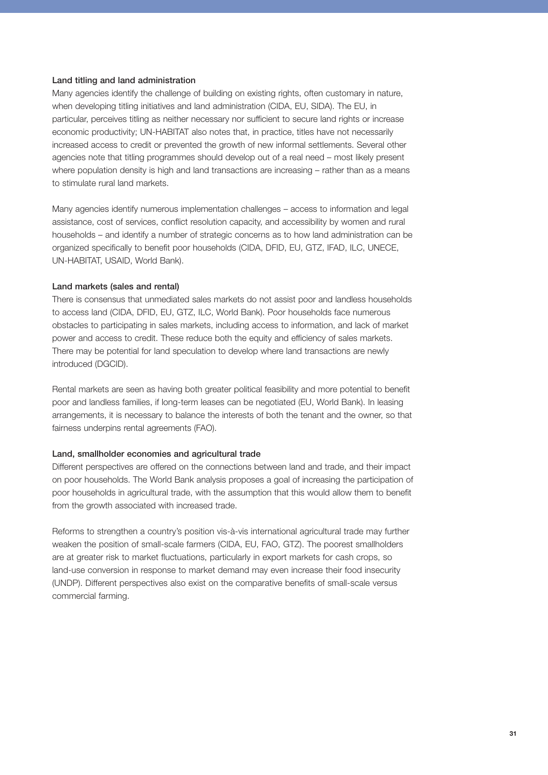## Land titling and land administration

Many agencies identify the challenge of building on existing rights, often customary in nature, when developing titling initiatives and land administration (CIDA, EU, SIDA). The EU, in particular, perceives titling as neither necessary nor sufficient to secure land rights or increase economic productivity; UN-HABITAT also notes that, in practice, titles have not necessarily increased access to credit or prevented the growth of new informal settlements. Several other agencies note that titling programmes should develop out of a real need – most likely present where population density is high and land transactions are increasing – rather than as a means to stimulate rural land markets.

Many agencies identify numerous implementation challenges – access to information and legal assistance, cost of services, conflict resolution capacity, and accessibility by women and rural households – and identify a number of strategic concerns as to how land administration can be organized specifically to benefit poor households (CIDA, DFID, EU, GTZ, IFAD, ILC, UNECE, UN-HABITAT, USAID, World Bank).

## Land markets (sales and rental)

There is consensus that unmediated sales markets do not assist poor and landless households to access land (CIDA, DFID, EU, GTZ, ILC, World Bank). Poor households face numerous obstacles to participating in sales markets, including access to information, and lack of market power and access to credit. These reduce both the equity and efficiency of sales markets. There may be potential for land speculation to develop where land transactions are newly introduced (DGCID).

Rental markets are seen as having both greater political feasibility and more potential to benefit poor and landless families, if long-term leases can be negotiated (EU, World Bank). In leasing arrangements, it is necessary to balance the interests of both the tenant and the owner, so that fairness underpins rental agreements (FAO).

#### Land, smallholder economies and agricultural trade

Different perspectives are offered on the connections between land and trade, and their impact on poor households. The World Bank analysis proposes a goal of increasing the participation of poor households in agricultural trade, with the assumption that this would allow them to benefit from the growth associated with increased trade.

Reforms to strengthen a country's position vis-à-vis international agricultural trade may further weaken the position of small-scale farmers (CIDA, EU, FAO, GTZ). The poorest smallholders are at greater risk to market fluctuations, particularly in export markets for cash crops, so land-use conversion in response to market demand may even increase their food insecurity (UNDP). Different perspectives also exist on the comparative benefits of small-scale versus commercial farming.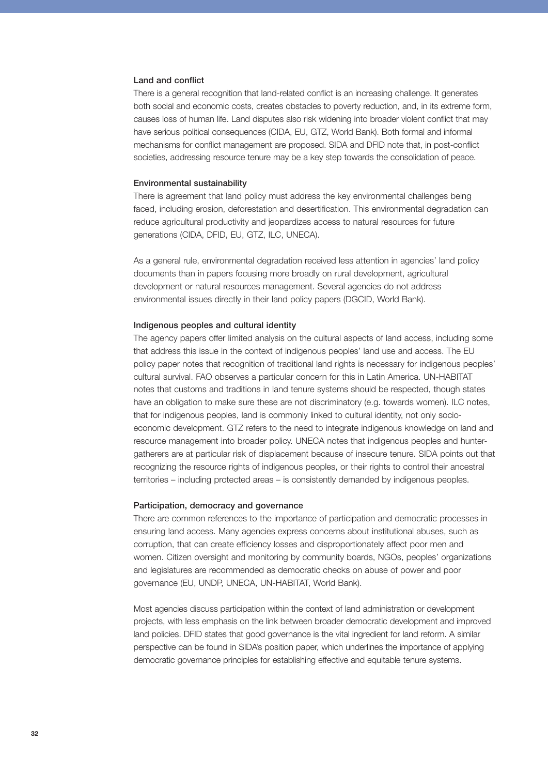#### Land and conflict

There is a general recognition that land-related conflict is an increasing challenge. It generates both social and economic costs, creates obstacles to poverty reduction, and, in its extreme form, causes loss of human life. Land disputes also risk widening into broader violent conflict that may have serious political consequences (CIDA, EU, GTZ, World Bank). Both formal and informal mechanisms for conflict management are proposed. SIDA and DFID note that, in post-conflict societies, addressing resource tenure may be a key step towards the consolidation of peace.

#### Environmental sustainability

There is agreement that land policy must address the key environmental challenges being faced, including erosion, deforestation and desertification. This environmental degradation can reduce agricultural productivity and jeopardizes access to natural resources for future generations (CIDA, DFID, EU, GTZ, ILC, UNECA).

As a general rule, environmental degradation received less attention in agencies' land policy documents than in papers focusing more broadly on rural development, agricultural development or natural resources management. Several agencies do not address environmental issues directly in their land policy papers (DGCID, World Bank).

#### Indigenous peoples and cultural identity

The agency papers offer limited analysis on the cultural aspects of land access, including some that address this issue in the context of indigenous peoples' land use and access. The EU policy paper notes that recognition of traditional land rights is necessary for indigenous peoples' cultural survival. FAO observes a particular concern for this in Latin America. UN-HABITAT notes that customs and traditions in land tenure systems should be respected, though states have an obligation to make sure these are not discriminatory (e.g. towards women). ILC notes, that for indigenous peoples, land is commonly linked to cultural identity, not only socioeconomic development. GTZ refers to the need to integrate indigenous knowledge on land and resource management into broader policy. UNECA notes that indigenous peoples and huntergatherers are at particular risk of displacement because of insecure tenure. SIDA points out that recognizing the resource rights of indigenous peoples, or their rights to control their ancestral territories – including protected areas – is consistently demanded by indigenous peoples.

#### Participation, democracy and governance

There are common references to the importance of participation and democratic processes in ensuring land access. Many agencies express concerns about institutional abuses, such as corruption, that can create efficiency losses and disproportionately affect poor men and women. Citizen oversight and monitoring by community boards, NGOs, peoples' organizations and legislatures are recommended as democratic checks on abuse of power and poor governance (EU, UNDP, UNECA, UN-HABITAT, World Bank).

Most agencies discuss participation within the context of land administration or development projects, with less emphasis on the link between broader democratic development and improved land policies. DFID states that good governance is the vital ingredient for land reform. A similar perspective can be found in SIDA's position paper, which underlines the importance of applying democratic governance principles for establishing effective and equitable tenure systems.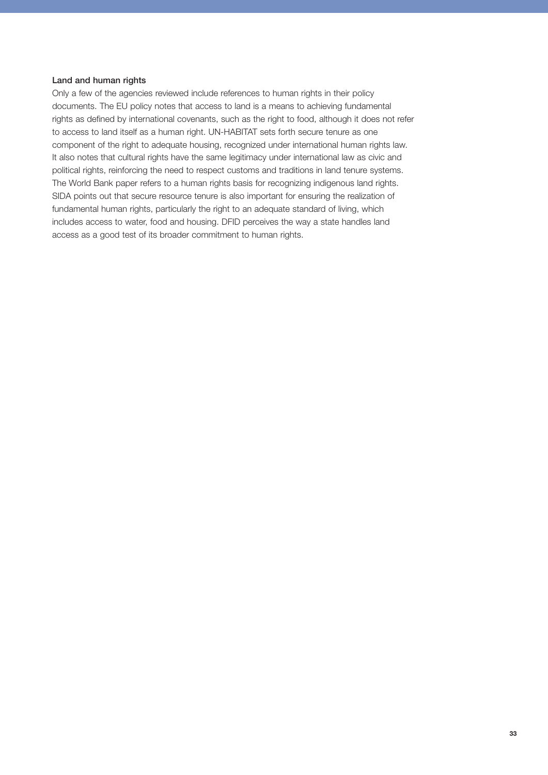## Land and human rights

Only a few of the agencies reviewed include references to human rights in their policy documents. The EU policy notes that access to land is a means to achieving fundamental rights as defined by international covenants, such as the right to food, although it does not refer to access to land itself as a human right. UN-HABITAT sets forth secure tenure as one component of the right to adequate housing, recognized under international human rights law. It also notes that cultural rights have the same legitimacy under international law as civic and political rights, reinforcing the need to respect customs and traditions in land tenure systems. The World Bank paper refers to a human rights basis for recognizing indigenous land rights. SIDA points out that secure resource tenure is also important for ensuring the realization of fundamental human rights, particularly the right to an adequate standard of living, which includes access to water, food and housing. DFID perceives the way a state handles land access as a good test of its broader commitment to human rights.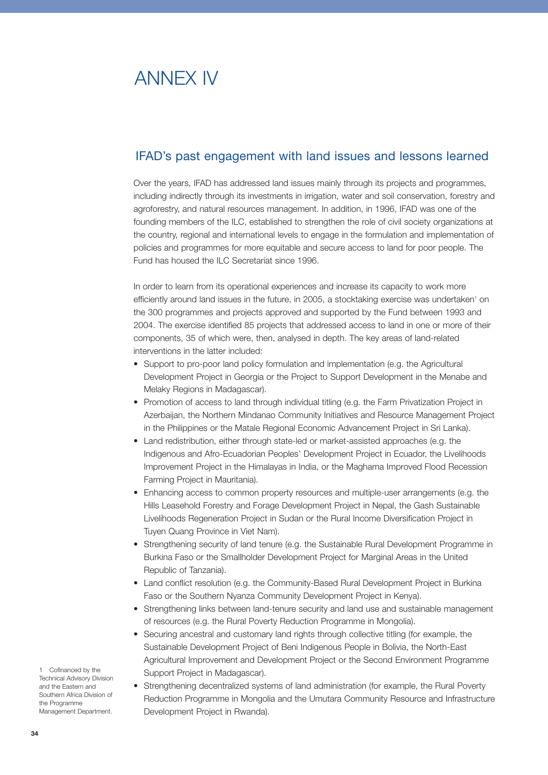# ANNEX IV

# IFAD's past engagement with land issues and lessons learned

Over the years, IFAD has addressed land issues mainly through its projects and programmes, including indirectly through its investments in irrigation, water and soil conservation, forestry and agroforestry, and natural resources management. In addition, in 1996, IFAD was one of the founding members of the ILC, established to strengthen the role of civil society organizations at the country, regional and international levels to engage in the formulation and implementation of policies and programmes for more equitable and secure access to land for poor people. The Fund has housed the ILC Secretariat since 1996.

In order to learn from its operational experiences and increase its capacity to work more efficiently around land issues in the future, in 2005, a stocktaking exercise was undertaken<sup>1</sup> on the 300 programmes and projects approved and supported by the Fund between 1993 and 2004. The exercise identified 85 projects that addressed access to land in one or more of their components, 35 of which were, then, analysed in depth. The key areas of land-related interventions in the latter included:

- Support to pro-poor land policy formulation and implementation (e.g. the Agricultural Development Project in Georgia or the Project to Support Development in the Menabe and Melaky Regions in Madagascar).
- Promotion of access to land through individual titling (e.g. the Farm Privatization Project in Azerbaijan, the Northern Mindanao Community Initiatives and Resource Management Project in the Philippines or the Matale Regional Economic Advancement Project in Sri Lanka).
- Land redistribution, either through state-led or market-assisted approaches (e.g. the Indigenous and Afro-Ecuadorian Peoples' Development Project in Ecuador, the Livelihoods Improvement Project in the Himalayas in India, or the Maghama Improved Flood Recession Farming Project in Mauritania).
- Enhancing access to common property resources and multiple-user arrangements (e.g. the Hills Leasehold Forestry and Forage Development Project in Nepal, the Gash Sustainable Livelihoods Regeneration Project in Sudan or the Rural Income Diversification Project in Tuyen Quang Province in Viet Nam).
- Strengthening security of land tenure (e.g. the Sustainable Rural Development Programme in Burkina Faso or the Smallholder Development Project for Marginal Areas in the United Republic of Tanzania).
- Land conflict resolution (e.g. the Community-Based Rural Development Project in Burkina Faso or the Southern Nyanza Community Development Project in Kenya).
- Strengthening links between land-tenure security and land use and sustainable management of resources (e.g. the Rural Poverty Reduction Programme in Mongolia).
- Securing ancestral and customary land rights through collective titling (for example, the Sustainable Development Project of Beni Indigenous People in Bolivia, the North-East Agricultural Improvement and Development Project or the Second Environment Programme Support Project in Madagascar).
- Strengthening decentralized systems of land administration (for example, the Rural Poverty Reduction Programme in Mongolia and the Umutara Community Resource and Infrastructure Development Project in Rwanda).

1 Cofinanced by the Technical Advisory Division and the Eastern and Southern Africa Division of the Programme Management Department.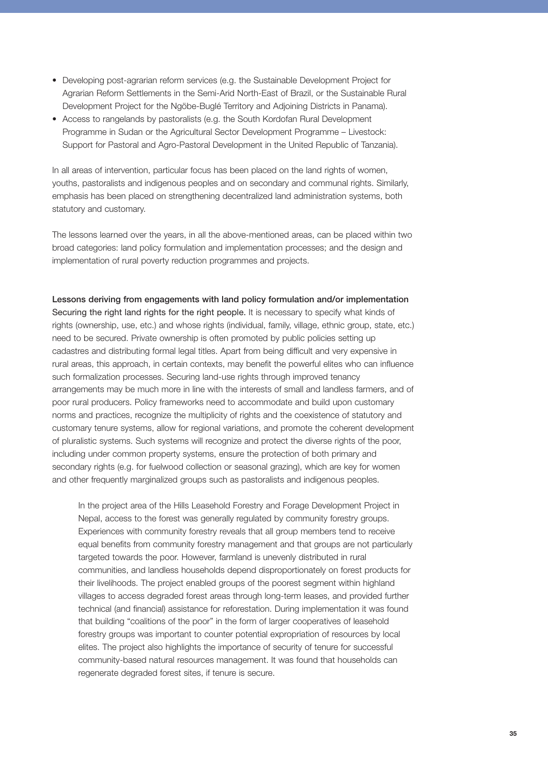- Developing post-agrarian reform services (e.g. the Sustainable Development Project for Agrarian Reform Settlements in the Semi-Arid North-East of Brazil, or the Sustainable Rural Development Project for the Ngöbe-Buglé Territory and Adjoining Districts in Panama).
- Access to rangelands by pastoralists (e.g. the South Kordofan Rural Development Programme in Sudan or the Agricultural Sector Development Programme – Livestock: Support for Pastoral and Agro-Pastoral Development in the United Republic of Tanzania).

In all areas of intervention, particular focus has been placed on the land rights of women, youths, pastoralists and indigenous peoples and on secondary and communal rights. Similarly, emphasis has been placed on strengthening decentralized land administration systems, both statutory and customary.

The lessons learned over the years, in all the above-mentioned areas, can be placed within two broad categories: land policy formulation and implementation processes; and the design and implementation of rural poverty reduction programmes and projects.

Lessons deriving from engagements with land policy formulation and/or implementation Securing the right land rights for the right people. It is necessary to specify what kinds of rights (ownership, use, etc.) and whose rights (individual, family, village, ethnic group, state, etc.) need to be secured. Private ownership is often promoted by public policies setting up cadastres and distributing formal legal titles. Apart from being difficult and very expensive in rural areas, this approach, in certain contexts, may benefit the powerful elites who can influence such formalization processes. Securing land-use rights through improved tenancy arrangements may be much more in line with the interests of small and landless farmers, and of poor rural producers. Policy frameworks need to accommodate and build upon customary norms and practices, recognize the multiplicity of rights and the coexistence of statutory and customary tenure systems, allow for regional variations, and promote the coherent development of pluralistic systems. Such systems will recognize and protect the diverse rights of the poor, including under common property systems, ensure the protection of both primary and secondary rights (e.g. for fuelwood collection or seasonal grazing), which are key for women and other frequently marginalized groups such as pastoralists and indigenous peoples.

In the project area of the Hills Leasehold Forestry and Forage Development Project in Nepal, access to the forest was generally regulated by community forestry groups. Experiences with community forestry reveals that all group members tend to receive equal benefits from community forestry management and that groups are not particularly targeted towards the poor. However, farmland is unevenly distributed in rural communities, and landless households depend disproportionately on forest products for their livelihoods. The project enabled groups of the poorest segment within highland villages to access degraded forest areas through long-term leases, and provided further technical (and financial) assistance for reforestation. During implementation it was found that building "coalitions of the poor" in the form of larger cooperatives of leasehold forestry groups was important to counter potential expropriation of resources by local elites. The project also highlights the importance of security of tenure for successful community-based natural resources management. It was found that households can regenerate degraded forest sites, if tenure is secure.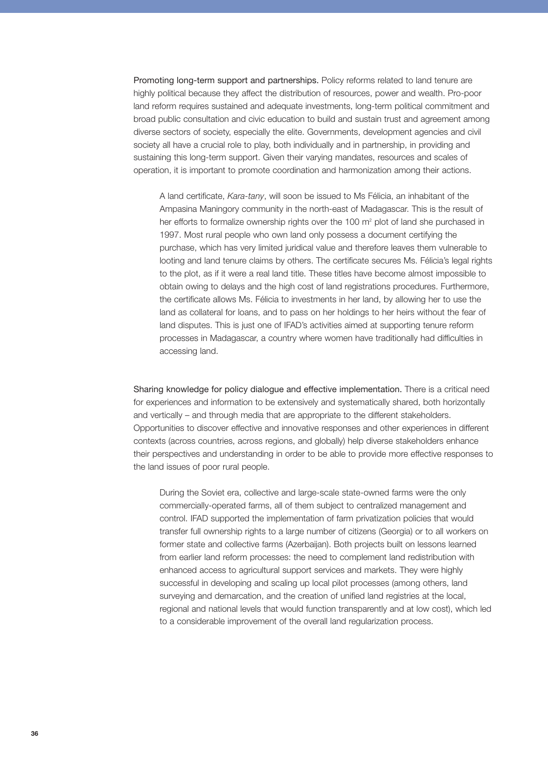Promoting long-term support and partnerships. Policy reforms related to land tenure are highly political because they affect the distribution of resources, power and wealth. Pro-poor land reform requires sustained and adequate investments, long-term political commitment and broad public consultation and civic education to build and sustain trust and agreement among diverse sectors of society, especially the elite. Governments, development agencies and civil society all have a crucial role to play, both individually and in partnership, in providing and sustaining this long-term support. Given their varying mandates, resources and scales of operation, it is important to promote coordination and harmonization among their actions.

A land certificate, *Kara-tany*, will soon be issued to Ms Félicia, an inhabitant of the Ampasina Maningory community in the north-east of Madagascar. This is the result of her efforts to formalize ownership rights over the 100  $m<sup>2</sup>$  plot of land she purchased in 1997. Most rural people who own land only possess a document certifying the purchase, which has very limited juridical value and therefore leaves them vulnerable to looting and land tenure claims by others. The certificate secures Ms. Félicia's legal rights to the plot, as if it were a real land title. These titles have become almost impossible to obtain owing to delays and the high cost of land registrations procedures. Furthermore, the certificate allows Ms. Félicia to investments in her land, by allowing her to use the land as collateral for loans, and to pass on her holdings to her heirs without the fear of land disputes. This is just one of IFAD's activities aimed at supporting tenure reform processes in Madagascar, a country where women have traditionally had difficulties in accessing land.

Sharing knowledge for policy dialogue and effective implementation. There is a critical need for experiences and information to be extensively and systematically shared, both horizontally and vertically – and through media that are appropriate to the different stakeholders. Opportunities to discover effective and innovative responses and other experiences in different contexts (across countries, across regions, and globally) help diverse stakeholders enhance their perspectives and understanding in order to be able to provide more effective responses to the land issues of poor rural people.

During the Soviet era, collective and large-scale state-owned farms were the only commercially-operated farms, all of them subject to centralized management and control. IFAD supported the implementation of farm privatization policies that would transfer full ownership rights to a large number of citizens (Georgia) or to all workers on former state and collective farms (Azerbaijan). Both projects built on lessons learned from earlier land reform processes: the need to complement land redistribution with enhanced access to agricultural support services and markets. They were highly successful in developing and scaling up local pilot processes (among others, land surveying and demarcation, and the creation of unified land registries at the local, regional and national levels that would function transparently and at low cost), which led to a considerable improvement of the overall land regularization process.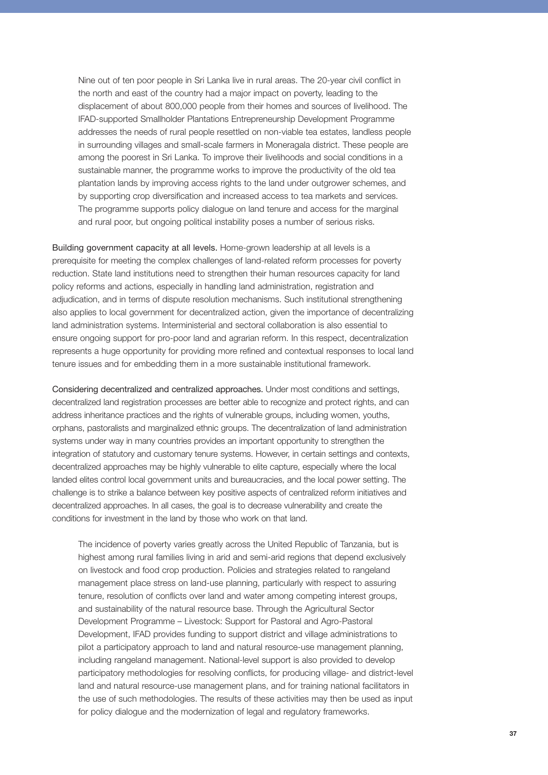Nine out of ten poor people in Sri Lanka live in rural areas. The 20-year civil conflict in the north and east of the country had a major impact on poverty, leading to the displacement of about 800,000 people from their homes and sources of livelihood. The IFAD-supported Smallholder Plantations Entrepreneurship Development Programme addresses the needs of rural people resettled on non-viable tea estates, landless people in surrounding villages and small-scale farmers in Moneragala district. These people are among the poorest in Sri Lanka. To improve their livelihoods and social conditions in a sustainable manner, the programme works to improve the productivity of the old tea plantation lands by improving access rights to the land under outgrower schemes, and by supporting crop diversification and increased access to tea markets and services. The programme supports policy dialogue on land tenure and access for the marginal and rural poor, but ongoing political instability poses a number of serious risks.

Building government capacity at all levels. Home-grown leadership at all levels is a prerequisite for meeting the complex challenges of land-related reform processes for poverty reduction. State land institutions need to strengthen their human resources capacity for land policy reforms and actions, especially in handling land administration, registration and adjudication, and in terms of dispute resolution mechanisms. Such institutional strengthening also applies to local government for decentralized action, given the importance of decentralizing land administration systems. Interministerial and sectoral collaboration is also essential to ensure ongoing support for pro-poor land and agrarian reform. In this respect, decentralization represents a huge opportunity for providing more refined and contextual responses to local land tenure issues and for embedding them in a more sustainable institutional framework.

Considering decentralized and centralized approaches. Under most conditions and settings, decentralized land registration processes are better able to recognize and protect rights, and can address inheritance practices and the rights of vulnerable groups, including women, youths, orphans, pastoralists and marginalized ethnic groups. The decentralization of land administration systems under way in many countries provides an important opportunity to strengthen the integration of statutory and customary tenure systems. However, in certain settings and contexts, decentralized approaches may be highly vulnerable to elite capture, especially where the local landed elites control local government units and bureaucracies, and the local power setting. The challenge is to strike a balance between key positive aspects of centralized reform initiatives and decentralized approaches. In all cases, the goal is to decrease vulnerability and create the conditions for investment in the land by those who work on that land.

The incidence of poverty varies greatly across the United Republic of Tanzania, but is highest among rural families living in arid and semi-arid regions that depend exclusively on livestock and food crop production. Policies and strategies related to rangeland management place stress on land-use planning, particularly with respect to assuring tenure, resolution of conflicts over land and water among competing interest groups, and sustainability of the natural resource base. Through the Agricultural Sector Development Programme – Livestock: Support for Pastoral and Agro-Pastoral Development, IFAD provides funding to support district and village administrations to pilot a participatory approach to land and natural resource-use management planning, including rangeland management. National-level support is also provided to develop participatory methodologies for resolving conflicts, for producing village- and district-level land and natural resource-use management plans, and for training national facilitators in the use of such methodologies. The results of these activities may then be used as input for policy dialogue and the modernization of legal and regulatory frameworks.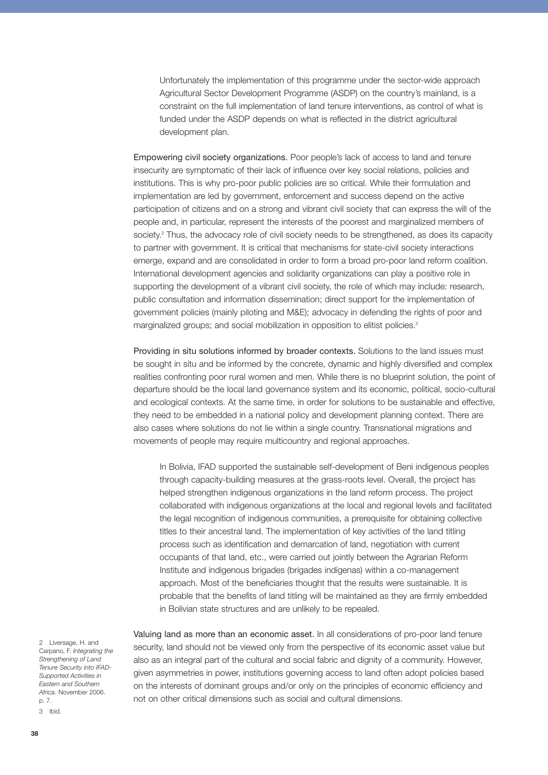Unfortunately the implementation of this programme under the sector-wide approach Agricultural Sector Development Programme (ASDP) on the country's mainland, is a constraint on the full implementation of land tenure interventions, as control of what is funded under the ASDP depends on what is reflected in the district agricultural development plan.

Empowering civil society organizations. Poor people's lack of access to land and tenure insecurity are symptomatic of their lack of influence over key social relations, policies and institutions. This is why pro-poor public policies are so critical. While their formulation and implementation are led by government, enforcement and success depend on the active participation of citizens and on a strong and vibrant civil society that can express the will of the people and, in particular, represent the interests of the poorest and marginalized members of society.<sup>2</sup> Thus, the advocacy role of civil society needs to be strengthened, as does its capacity to partner with government. It is critical that mechanisms for state-civil society interactions emerge, expand and are consolidated in order to form a broad pro-poor land reform coalition. International development agencies and solidarity organizations can play a positive role in supporting the development of a vibrant civil society, the role of which may include: research, public consultation and information dissemination; direct support for the implementation of government policies (mainly piloting and M&E); advocacy in defending the rights of poor and marginalized groups; and social mobilization in opposition to elitist policies.<sup>3</sup>

Providing in situ solutions informed by broader contexts. Solutions to the land issues must be sought in situ and be informed by the concrete, dynamic and highly diversified and complex realities confronting poor rural women and men. While there is no blueprint solution, the point of departure should be the local land governance system and its economic, political, socio-cultural and ecological contexts. At the same time, in order for solutions to be sustainable and effective, they need to be embedded in a national policy and development planning context. There are also cases where solutions do not lie within a single country. Transnational migrations and movements of people may require multicountry and regional approaches.

In Bolivia, IFAD supported the sustainable self-development of Beni indigenous peoples through capacity-building measures at the grass-roots level. Overall, the project has helped strengthen indigenous organizations in the land reform process. The project collaborated with indigenous organizations at the local and regional levels and facilitated the legal recognition of indigenous communities, a prerequisite for obtaining collective titles to their ancestral land. The implementation of key activities of the land titling process such as identification and demarcation of land, negotiation with current occupants of that land, etc., were carried out jointly between the Agrarian Reform Institute and indigenous brigades (brigades indígenas) within a co-management approach. Most of the beneficiaries thought that the results were sustainable. It is probable that the benefits of land titling will be maintained as they are firmly embedded in Bolivian state structures and are unlikely to be repealed.

2 Liversage, H. and Carpano, F. *Integrating the Strengthening of Land Tenure Security into IFAD-Supported Activities in Eastern and Southern Africa*. November 2006. p. 7. 3 Ibid.

Valuing land as more than an economic asset. In all considerations of pro-poor land tenure security, land should not be viewed only from the perspective of its economic asset value but also as an integral part of the cultural and social fabric and dignity of a community. However, given asymmetries in power, institutions governing access to land often adopt policies based on the interests of dominant groups and/or only on the principles of economic efficiency and not on other critical dimensions such as social and cultural dimensions.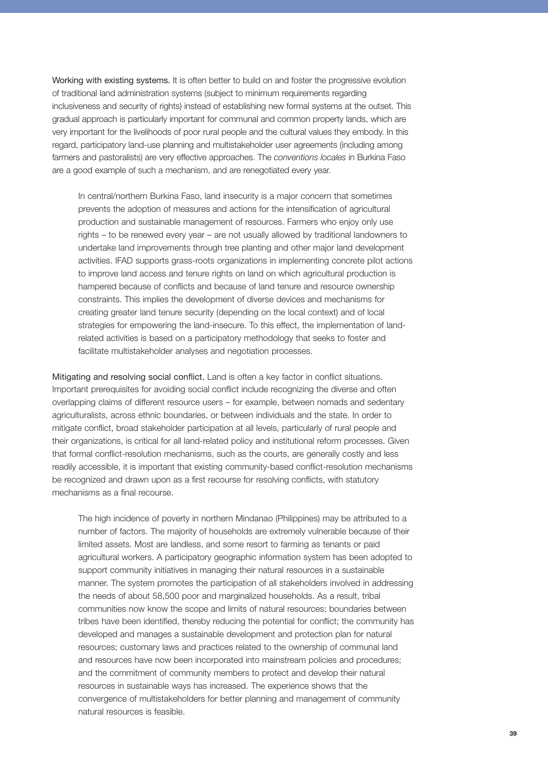Working with existing systems. It is often better to build on and foster the progressive evolution of traditional land administration systems (subject to minimum requirements regarding inclusiveness and security of rights) instead of establishing new formal systems at the outset. This gradual approach is particularly important for communal and common property lands, which are very important for the livelihoods of poor rural people and the cultural values they embody. In this regard, participatory land-use planning and multistakeholder user agreements (including among farmers and pastoralists) are very effective approaches. The *conventions locales* in Burkina Faso are a good example of such a mechanism, and are renegotiated every year.

In central/northern Burkina Faso, land insecurity is a major concern that sometimes prevents the adoption of measures and actions for the intensification of agricultural production and sustainable management of resources. Farmers who enjoy only use rights – to be renewed every year – are not usually allowed by traditional landowners to undertake land improvements through tree planting and other major land development activities. IFAD supports grass-roots organizations in implementing concrete pilot actions to improve land access and tenure rights on land on which agricultural production is hampered because of conflicts and because of land tenure and resource ownership constraints. This implies the development of diverse devices and mechanisms for creating greater land tenure security (depending on the local context) and of local strategies for empowering the land-insecure. To this effect, the implementation of landrelated activities is based on a participatory methodology that seeks to foster and facilitate multistakeholder analyses and negotiation processes.

Mitigating and resolving social conflict. Land is often a key factor in conflict situations. Important prerequisites for avoiding social conflict include recognizing the diverse and often overlapping claims of different resource users – for example, between nomads and sedentary agriculturalists, across ethnic boundaries, or between individuals and the state. In order to mitigate conflict, broad stakeholder participation at all levels, particularly of rural people and their organizations, is critical for all land-related policy and institutional reform processes. Given that formal conflict-resolution mechanisms, such as the courts, are generally costly and less readily accessible, it is important that existing community-based conflict-resolution mechanisms be recognized and drawn upon as a first recourse for resolving conflicts, with statutory mechanisms as a final recourse.

The high incidence of poverty in northern Mindanao (Philippines) may be attributed to a number of factors. The majority of households are extremely vulnerable because of their limited assets. Most are landless, and some resort to farming as tenants or paid agricultural workers. A participatory geographic information system has been adopted to support community initiatives in managing their natural resources in a sustainable manner. The system promotes the participation of all stakeholders involved in addressing the needs of about 58,500 poor and marginalized households. As a result, tribal communities now know the scope and limits of natural resources; boundaries between tribes have been identified, thereby reducing the potential for conflict; the community has developed and manages a sustainable development and protection plan for natural resources; customary laws and practices related to the ownership of communal land and resources have now been incorporated into mainstream policies and procedures; and the commitment of community members to protect and develop their natural resources in sustainable ways has increased. The experience shows that the convergence of multistakeholders for better planning and management of community natural resources is feasible.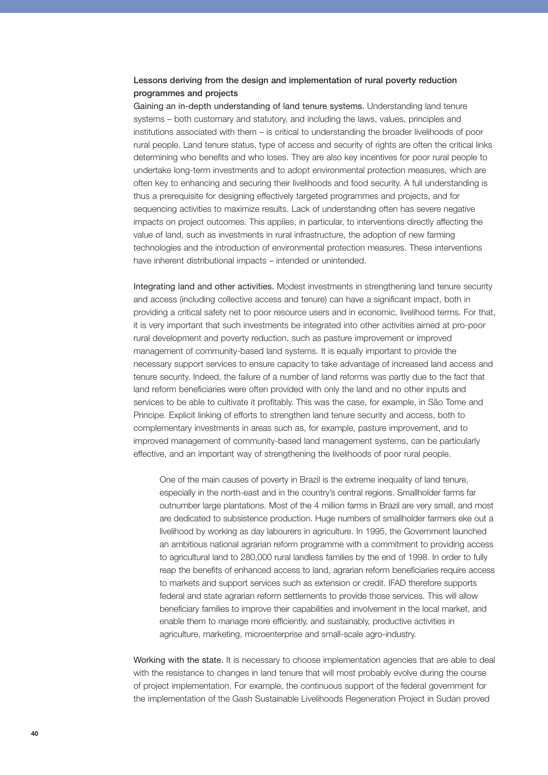## Lessons deriving from the design and implementation of rural poverty reduction programmes and projects

Gaining an in-depth understanding of land tenure systems. Understanding land tenure systems – both customary and statutory, and including the laws, values, principles and institutions associated with them – is critical to understanding the broader livelihoods of poor rural people. Land tenure status, type of access and security of rights are often the critical links determining who benefits and who loses. They are also key incentives for poor rural people to undertake long-term investments and to adopt environmental protection measures, which are often key to enhancing and securing their livelihoods and food security. A full understanding is thus a prerequisite for designing effectively targeted programmes and projects, and for sequencing activities to maximize results. Lack of understanding often has severe negative impacts on project outcomes. This applies, in particular, to interventions directly affecting the value of land, such as investments in rural infrastructure, the adoption of new farming technologies and the introduction of environmental protection measures. These interventions have inherent distributional impacts – intended or unintended.

Integrating land and other activities. Modest investments in strengthening land tenure security and access (including collective access and tenure) can have a significant impact, both in providing a critical safety net to poor resource users and in economic, livelihood terms. For that, it is very important that such investments be integrated into other activities aimed at pro-poor rural development and poverty reduction, such as pasture improvement or improved management of community-based land systems. It is equally important to provide the necessary support services to ensure capacity to take advantage of increased land access and tenure security. Indeed, the failure of a number of land reforms was partly due to the fact that land reform beneficiaries were often provided with only the land and no other inputs and services to be able to cultivate it profitably. This was the case, for example, in São Tome and Principe. Explicit linking of efforts to strengthen land tenure security and access, both to complementary investments in areas such as, for example, pasture improvement, and to improved management of community-based land management systems, can be particularly effective, and an important way of strengthening the livelihoods of poor rural people.

One of the main causes of poverty in Brazil is the extreme inequality of land tenure, especially in the north-east and in the country's central regions. Smallholder farms far outnumber large plantations. Most of the 4 million farms in Brazil are very small, and most are dedicated to subsistence production. Huge numbers of smallholder farmers eke out a livelihood by working as day labourers in agriculture. In 1995, the Government launched an ambitious national agrarian reform programme with a commitment to providing access to agricultural land to 280,000 rural landless families by the end of 1998. In order to fully reap the benefits of enhanced access to land, agrarian reform beneficiaries require access to markets and support services such as extension or credit. IFAD therefore supports federal and state agrarian reform settlements to provide those services. This will allow beneficiary families to improve their capabilities and involvement in the local market, and enable them to manage more efficiently, and sustainably, productive activities in agriculture, marketing, microenterprise and small-scale agro-industry.

Working with the state. It is necessary to choose implementation agencies that are able to deal with the resistance to changes in land tenure that will most probably evolve during the course of project implementation. For example, the continuous support of the federal government for the implementation of the Gash Sustainable Livelihoods Regeneration Project in Sudan proved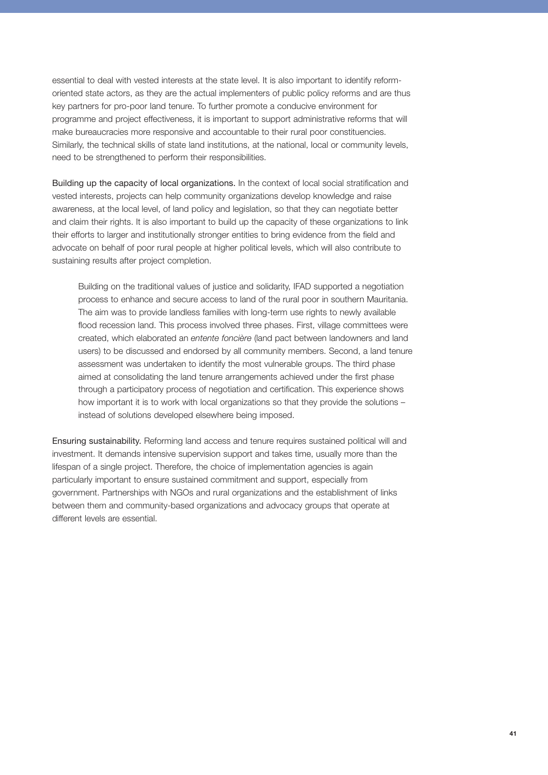essential to deal with vested interests at the state level. It is also important to identify reformoriented state actors, as they are the actual implementers of public policy reforms and are thus key partners for pro-poor land tenure. To further promote a conducive environment for programme and project effectiveness, it is important to support administrative reforms that will make bureaucracies more responsive and accountable to their rural poor constituencies. Similarly, the technical skills of state land institutions, at the national, local or community levels, need to be strengthened to perform their responsibilities.

Building up the capacity of local organizations. In the context of local social stratification and vested interests, projects can help community organizations develop knowledge and raise awareness, at the local level, of land policy and legislation, so that they can negotiate better and claim their rights. It is also important to build up the capacity of these organizations to link their efforts to larger and institutionally stronger entities to bring evidence from the field and advocate on behalf of poor rural people at higher political levels, which will also contribute to sustaining results after project completion.

Building on the traditional values of justice and solidarity, IFAD supported a negotiation process to enhance and secure access to land of the rural poor in southern Mauritania. The aim was to provide landless families with long-term use rights to newly available flood recession land. This process involved three phases. First, village committees were created, which elaborated an *entente foncière* (land pact between landowners and land users) to be discussed and endorsed by all community members. Second, a land tenure assessment was undertaken to identify the most vulnerable groups. The third phase aimed at consolidating the land tenure arrangements achieved under the first phase through a participatory process of negotiation and certification. This experience shows how important it is to work with local organizations so that they provide the solutions – instead of solutions developed elsewhere being imposed.

Ensuring sustainability. Reforming land access and tenure requires sustained political will and investment. It demands intensive supervision support and takes time, usually more than the lifespan of a single project. Therefore, the choice of implementation agencies is again particularly important to ensure sustained commitment and support, especially from government. Partnerships with NGOs and rural organizations and the establishment of links between them and community-based organizations and advocacy groups that operate at different levels are essential.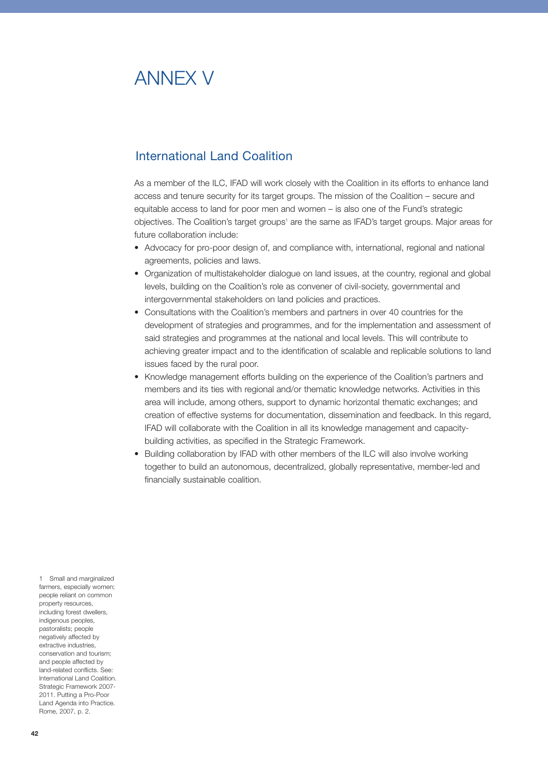# ANNEX V

# International Land Coalition

As a member of the ILC, IFAD will work closely with the Coalition in its efforts to enhance land access and tenure security for its target groups. The mission of the Coalition – secure and equitable access to land for poor men and women – is also one of the Fund's strategic objectives. The Coalition's target groups<sup>1</sup> are the same as IFAD's target groups. Major areas for future collaboration include:

- Advocacy for pro-poor design of, and compliance with, international, regional and national agreements, policies and laws.
- Organization of multistakeholder dialogue on land issues, at the country, regional and global levels, building on the Coalition's role as convener of civil-society, governmental and intergovernmental stakeholders on land policies and practices.
- Consultations with the Coalition's members and partners in over 40 countries for the development of strategies and programmes, and for the implementation and assessment of said strategies and programmes at the national and local levels. This will contribute to achieving greater impact and to the identification of scalable and replicable solutions to land issues faced by the rural poor.
- Knowledge management efforts building on the experience of the Coalition's partners and members and its ties with regional and/or thematic knowledge networks. Activities in this area will include, among others, support to dynamic horizontal thematic exchanges; and creation of effective systems for documentation, dissemination and feedback. In this regard, IFAD will collaborate with the Coalition in all its knowledge management and capacitybuilding activities, as specified in the Strategic Framework.
- Building collaboration by IFAD with other members of the ILC will also involve working together to build an autonomous, decentralized, globally representative, member-led and financially sustainable coalition.

1 Small and marginalized farmers, especially women: people reliant on common property resources, including forest dwellers, indigenous peoples, pastoralists; people negatively affected by extractive industries, conservation and tourism; and people affected by land-related conflicts. See: International Land Coalition. Strategic Framework 2007- 2011. Putting a Pro-Poor Land Agenda into Practice. Rome, 2007, p. 2.